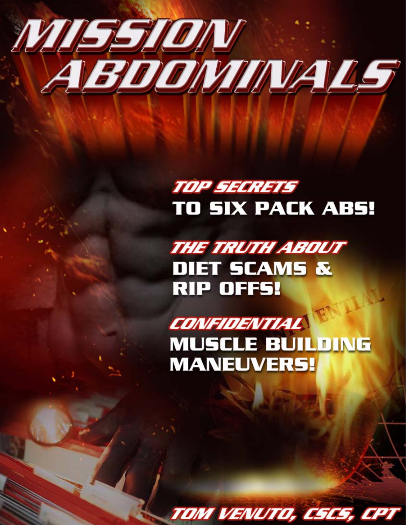

# TOP SECRETS **TO SIX PACK ABS!**

**THE TRUTH ABOUT DIET SCAMS & RIP OFFS!** 

**CONFIDENTIAL MUSCLE BUILDING MANEUVERS!** 

TOM VENUTO, CSCS, CPT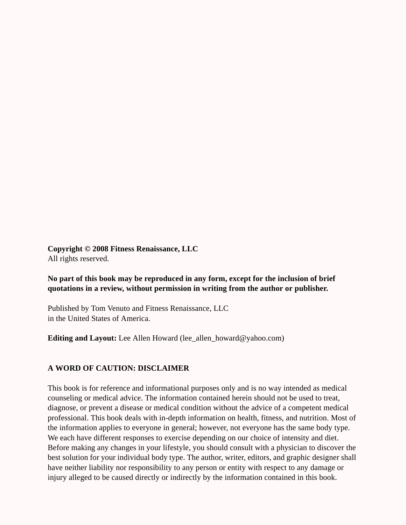**Copyright © 2008 Fitness Renaissance, LLC** All rights reserved.

#### **No part of this book may be reproduced in any form, except for the inclusion of brief quotations in a review, without permission in writing from the author or publisher.**

Published by Tom Venuto and Fitness Renaissance, LLC in the United States of America.

**Editing and Layout:** Lee Allen Howard (lee\_allen\_howard@yahoo.com)

#### **A WORD OF CAUTION: DISCLAIMER**

This book is for reference and informational purposes only and is no way intended as medical counseling or medical advice. The information contained herein should not be used to treat, diagnose, or prevent a disease or medical condition without the advice of a competent medical professional. This book deals with in-depth information on health, fitness, and nutrition. Most of the information applies to everyone in general; however, not everyone has the same body type. We each have different responses to exercise depending on our choice of intensity and diet. Before making any changes in your lifestyle, you should consult with a physician to discover the best solution for your individual body type. The author, writer, editors, and graphic designer shall have neither liability nor responsibility to any person or entity with respect to any damage or injury alleged to be caused directly or indirectly by the information contained in this book.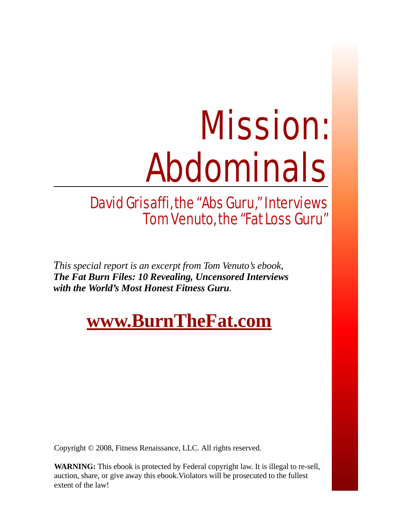# Mission: Abdominals

### David Grisaffi, the "Abs Guru," Interviews Tom Venuto, the "Fat Loss Guru"

*This special report is an excerpt from Tom Venuto's ebook, The Fat Burn Files: 10 Revealing, Uncensored Interviews with the World's Most Honest Fitness Guru.*

# **[www.BurnTheFat.com](http://matynne54.burnthefat.hop.clickbank.net)**

Copyright © 2008, Fitness Renaissance, LLC. All rights reserved.<br>WARNING: This ebook is protected by Federal copyright law. It is which wise. This ebook is protected by Federal copyright law. It is megan to the sent, auction, share, or give away this ebook. Violators will be prosecuted to the fullest extent of the law! **WARNING:** This ebook is protected by Federal copyright law. It is illegal to re-sell, extent of the law!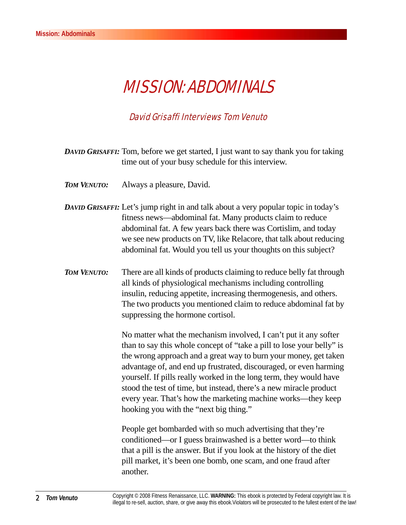## MISSION: ABDOMINALS

#### David Grisaffi Interviews Tom Venuto

- *DAVID GRISAFFI:* Tom, before we get started, I just want to say thank you for taking time out of your busy schedule for this interview.
- *TOM VENUTO:* Always a pleasure, David.
- *DAVID GRISAFFI:* Let's jump right in and talk about a very popular topic in today's fitness news—abdominal fat. Many products claim to reduce abdominal fat. A few years back there was Cortislim, and today we see new products on TV, like Relacore, that talk about reducing abdominal fat. Would you tell us your thoughts on this subject?
- *TOM VENUTO:* There are all kinds of products claiming to reduce belly fat through all kinds of physiological mechanisms including controlling insulin, reducing appetite, increasing thermogenesis, and others. The two products you mentioned claim to reduce abdominal fat by suppressing the hormone cortisol.

No matter what the mechanism involved, I can't put it any softer than to say this whole concept of "take a pill to lose your belly" is the wrong approach and a great way to burn your money, get taken advantage of, and end up frustrated, discouraged, or even harming yourself. If pills really worked in the long term, they would have stood the test of time, but instead, there's a new miracle product every year. That's how the marketing machine works—they keep hooking you with the "next big thing."

People get bombarded with so much advertising that they're conditioned—or I guess brainwashed is a better word—to think that a pill is the answer. But if you look at the history of the diet pill market, it's been one bomb, one scam, and one fraud after another.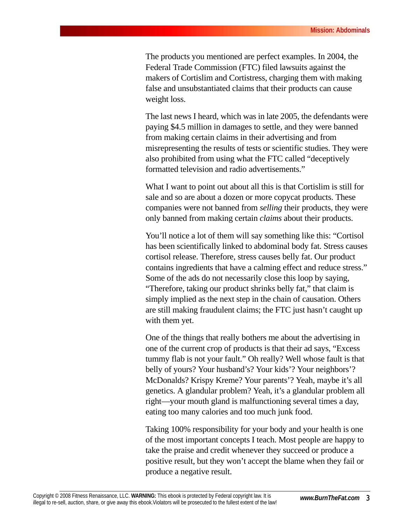The products you mentioned are perfect examples. In 2004, the Federal Trade Commission (FTC) filed lawsuits against the makers of Cortislim and Cortistress, charging them with making false and unsubstantiated claims that their products can cause weight loss.

The last news I heard, which was in late 2005, the defendants were paying \$4.5 million in damages to settle, and they were banned from making certain claims in their advertising and from misrepresenting the results of tests or scientific studies. They were also prohibited from using what the FTC called "deceptively formatted television and radio advertisements."

What I want to point out about all this is that Cortislim is still for sale and so are about a dozen or more copycat products. These companies were not banned from *selling* their products, they were only banned from making certain *claims* about their products.

You'll notice a lot of them will say something like this: "Cortisol has been scientifically linked to abdominal body fat. Stress causes cortisol release. Therefore, stress causes belly fat. Our product contains ingredients that have a calming effect and reduce stress." Some of the ads do not necessarily close this loop by saying, "Therefore, taking our product shrinks belly fat," that claim is simply implied as the next step in the chain of causation. Others are still making fraudulent claims; the FTC just hasn't caught up with them yet.

One of the things that really bothers me about the advertising in one of the current crop of products is that their ad says, "Excess tummy flab is not your fault." Oh really? Well whose fault is that belly of yours? Your husband's? Your kids'? Your neighbors'? McDonalds? Krispy Kreme? Your parents'? Yeah, maybe it's all genetics. A glandular problem? Yeah, it's a glandular problem all right—your mouth gland is malfunctioning several times a day, eating too many calories and too much junk food.

Taking 100% responsibility for your body and your health is one of the most important concepts I teach. Most people are happy to take the praise and credit whenever they succeed or produce a positive result, but they won't accept the blame when they fail or produce a negative result.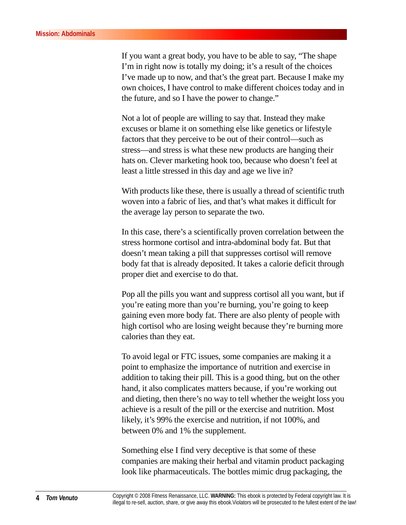If you want a great body, you have to be able to say, "The shape I'm in right now is totally my doing; it's a result of the choices I've made up to now, and that's the great part. Because I make my own choices, I have control to make different choices today and in the future, and so I have the power to change."

Not a lot of people are willing to say that. Instead they make excuses or blame it on something else like genetics or lifestyle factors that they perceive to be out of their control—such as stress—and stress is what these new products are hanging their hats on. Clever marketing hook too, because who doesn't feel at least a little stressed in this day and age we live in?

With products like these, there is usually a thread of scientific truth woven into a fabric of lies, and that's what makes it difficult for the average lay person to separate the two.

In this case, there's a scientifically proven correlation between the stress hormone cortisol and intra-abdominal body fat. But that doesn't mean taking a pill that suppresses cortisol will remove body fat that is already deposited. It takes a calorie deficit through proper diet and exercise to do that.

Pop all the pills you want and suppress cortisol all you want, but if you're eating more than you're burning, you're going to keep gaining even more body fat. There are also plenty of people with high cortisol who are losing weight because they're burning more calories than they eat.

To avoid legal or FTC issues, some companies are making it a point to emphasize the importance of nutrition and exercise in addition to taking their pill. This is a good thing, but on the other hand, it also complicates matters because, if you're working out and dieting, then there's no way to tell whether the weight loss you achieve is a result of the pill or the exercise and nutrition. Most likely, it's 99% the exercise and nutrition, if not 100%, and between 0% and 1% the supplement.

Something else I find very deceptive is that some of these companies are making their herbal and vitamin product packaging look like pharmaceuticals. The bottles mimic drug packaging, the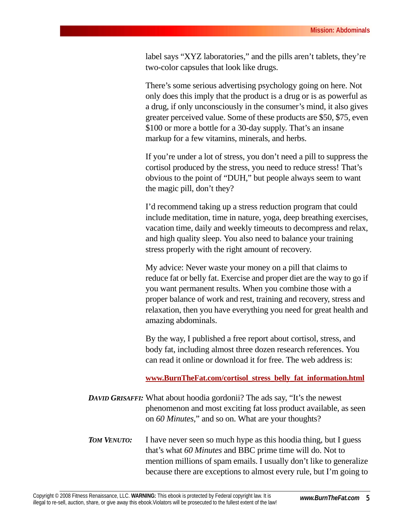label says "XYZ laboratories," and the pills aren't tablets, they're two-color capsules that look like drugs.

There's some serious advertising psychology going on here. Not only does this imply that the product is a drug or is as powerful as a drug, if only unconsciously in the consumer's mind, it also gives greater perceived value. Some of these products are \$50, \$75, even \$100 or more a bottle for a 30-day supply. That's an insane markup for a few vitamins, minerals, and herbs.

If you're under a lot of stress, you don't need a pill to suppress the cortisol produced by the stress, you need to reduce stress! That's obvious to the point of "DUH," but people always seem to want the magic pill, don't they?

I'd recommend taking up a stress reduction program that could include meditation, time in nature, yoga, deep breathing exercises, vacation time, daily and weekly timeouts to decompress and relax, and high quality sleep. You also need to balance your training stress properly with the right amount of recovery.

My advice: Never waste your money on a pill that claims to reduce fat or belly fat. Exercise and proper diet are the way to go if you want permanent results. When you combine those with a proper balance of work and rest, training and recovery, stress and relaxation, then you have everything you need for great health and amazing abdominals.

By the way, I published a free report about cortisol, stress, and body fat, including almost three dozen research references. You can read it online or download it for free. The web address is:

**[www.BurnTheFat.com/cortisol\\_stress\\_belly\\_fat\\_information.html](http://www.burnthefat.com/cortisol_stress_belly_fat_information.html)**

*DAVID GRISAFFI:* What about hoodia gordonii? The ads say, "It's the newest phenomenon and most exciting fat loss product available, as seen on *60 Minutes*," and so on. What are your thoughts?

*TOM VENUTO:* I have never seen so much hype as this hoodia thing, but I guess that's what *60 Minutes* and BBC prime time will do. Not to mention millions of spam emails. I usually don't like to generalize because there are exceptions to almost every rule, but I'm going to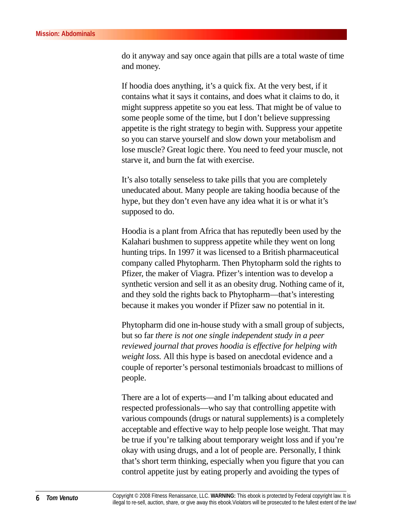do it anyway and say once again that pills are a total waste of time and money.

If hoodia does anything, it's a quick fix. At the very best, if it contains what it says it contains, and does what it claims to do, it might suppress appetite so you eat less. That might be of value to some people some of the time, but I don't believe suppressing appetite is the right strategy to begin with. Suppress your appetite so you can starve yourself and slow down your metabolism and lose muscle? Great logic there. You need to feed your muscle, not starve it, and burn the fat with exercise.

It's also totally senseless to take pills that you are completely uneducated about. Many people are taking hoodia because of the hype, but they don't even have any idea what it is or what it's supposed to do.

Hoodia is a plant from Africa that has reputedly been used by the Kalahari bushmen to suppress appetite while they went on long hunting trips. In 1997 it was licensed to a British pharmaceutical company called Phytopharm. Then Phytopharm sold the rights to Pfizer, the maker of Viagra. Pfizer's intention was to develop a synthetic version and sell it as an obesity drug. Nothing came of it, and they sold the rights back to Phytopharm—that's interesting because it makes you wonder if Pfizer saw no potential in it.

Phytopharm did one in-house study with a small group of subjects, but so far *there is not one single independent study in a peer reviewed journal that proves hoodia is effective for helping with weight loss.* All this hype is based on anecdotal evidence and a couple of reporter's personal testimonials broadcast to millions of people.

There are a lot of experts—and I'm talking about educated and respected professionals—who say that controlling appetite with various compounds (drugs or natural supplements) is a completely acceptable and effective way to help people lose weight. That may be true if you're talking about temporary weight loss and if you're okay with using drugs, and a lot of people are. Personally, I think that's short term thinking, especially when you figure that you can control appetite just by eating properly and avoiding the types of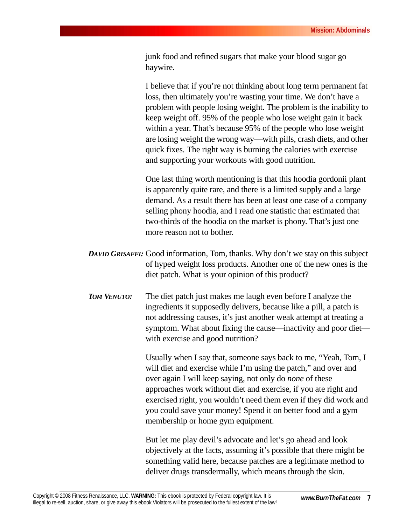junk food and refined sugars that make your blood sugar go haywire.

I believe that if you're not thinking about long term permanent fat loss, then ultimately you're wasting your time. We don't have a problem with people losing weight. The problem is the inability to keep weight off. 95% of the people who lose weight gain it back within a year. That's because 95% of the people who lose weight are losing weight the wrong way—with pills, crash diets, and other quick fixes. The right way is burning the calories with exercise and supporting your workouts with good nutrition.

One last thing worth mentioning is that this hoodia gordonii plant is apparently quite rare, and there is a limited supply and a large demand. As a result there has been at least one case of a company selling phony hoodia, and I read one statistic that estimated that two-thirds of the hoodia on the market is phony. That's just one more reason not to bother.

- *DAVID GRISAFFI:* Good information, Tom, thanks. Why don't we stay on this subject of hyped weight loss products. Another one of the new ones is the diet patch. What is your opinion of this product?
- *TOM VENUTO:* The diet patch just makes me laugh even before I analyze the ingredients it supposedly delivers, because like a pill, a patch is not addressing causes, it's just another weak attempt at treating a symptom. What about fixing the cause—inactivity and poor diet with exercise and good nutrition?

Usually when I say that, someone says back to me, "Yeah, Tom, I will diet and exercise while I'm using the patch," and over and over again I will keep saying, not only do *none* of these approaches work without diet and exercise, if you ate right and exercised right, you wouldn't need them even if they did work and you could save your money! Spend it on better food and a gym membership or home gym equipment.

But let me play devil's advocate and let's go ahead and look objectively at the facts, assuming it's possible that there might be something valid here, because patches are a legitimate method to deliver drugs transdermally, which means through the skin.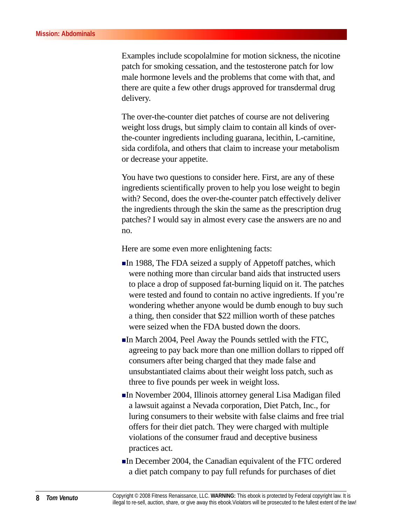Examples include scopolalmine for motion sickness, the nicotine patch for smoking cessation, and the testosterone patch for low male hormone levels and the problems that come with that, and there are quite a few other drugs approved for transdermal drug delivery.

The over-the-counter diet patches of course are not delivering weight loss drugs, but simply claim to contain all kinds of overthe-counter ingredients including guarana, lecithin, L-carnitine, sida cordifola, and others that claim to increase your metabolism or decrease your appetite.

You have two questions to consider here. First, are any of these ingredients scientifically proven to help you lose weight to begin with? Second, does the over-the-counter patch effectively deliver the ingredients through the skin the same as the prescription drug patches? I would say in almost every case the answers are no and no.

Here are some even more enlightening facts:

- $\blacksquare$ In 1988, The FDA seized a supply of Appetoff patches, which were nothing more than circular band aids that instructed users to place a drop of supposed fat-burning liquid on it. The patches were tested and found to contain no active ingredients. If you're wondering whether anyone would be dumb enough to buy such a thing, then consider that \$22 million worth of these patches were seized when the FDA busted down the doors.
- In March 2004, Peel Away the Pounds settled with the FTC, agreeing to pay back more than one million dollars to ripped off consumers after being charged that they made false and unsubstantiated claims about their weight loss patch, such as three to five pounds per week in weight loss.
- In November 2004, Illinois attorney general Lisa Madigan filed a lawsuit against a Nevada corporation, Diet Patch, Inc., for luring consumers to their website with false claims and free trial offers for their diet patch. They were charged with multiple violations of the consumer fraud and deceptive business practices act.
- In December 2004, the Canadian equivalent of the FTC ordered a diet patch company to pay full refunds for purchases of diet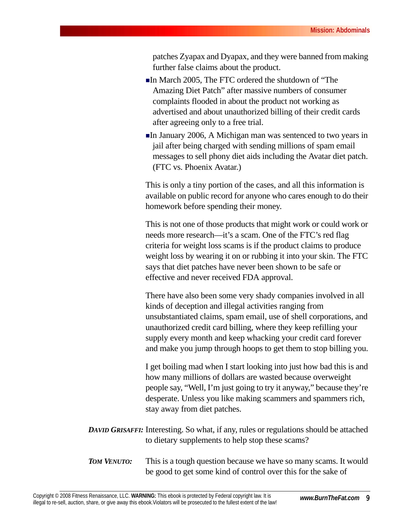patches Zyapax and Dyapax, and they were banned from making further false claims about the product.

- In March 2005, The FTC ordered the shutdown of "The Amazing Diet Patch" after massive numbers of consumer complaints flooded in about the product not working as advertised and about unauthorized billing of their credit cards after agreeing only to a free trial.
- In January 2006, A Michigan man was sentenced to two years in jail after being charged with sending millions of spam email messages to sell phony diet aids including the Avatar diet patch. (FTC vs. Phoenix Avatar.)

This is only a tiny portion of the cases, and all this information is available on public record for anyone who cares enough to do their homework before spending their money.

This is not one of those products that might work or could work or needs more research—it's a scam. One of the FTC's red flag criteria for weight loss scams is if the product claims to produce weight loss by wearing it on or rubbing it into your skin. The FTC says that diet patches have never been shown to be safe or effective and never received FDA approval.

There have also been some very shady companies involved in all kinds of deception and illegal activities ranging from unsubstantiated claims, spam email, use of shell corporations, and unauthorized credit card billing, where they keep refilling your supply every month and keep whacking your credit card forever and make you jump through hoops to get them to stop billing you.

I get boiling mad when I start looking into just how bad this is and how many millions of dollars are wasted because overweight people say, "Well, I'm just going to try it anyway," because they're desperate. Unless you like making scammers and spammers rich, stay away from diet patches.

- *DAVID GRISAFFI:* Interesting. So what, if any, rules or regulations should be attached to dietary supplements to help stop these scams?
- *TOM VENUTO:* This is a tough question because we have so many scams. It would be good to get some kind of control over this for the sake of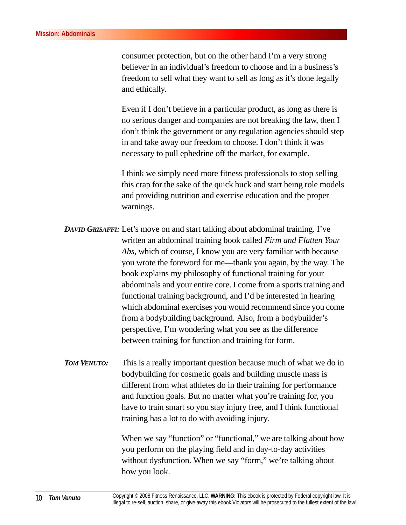consumer protection, but on the other hand I'm a very strong believer in an individual's freedom to choose and in a business's freedom to sell what they want to sell as long as it's done legally and ethically.

Even if I don't believe in a particular product, as long as there is no serious danger and companies are not breaking the law, then I don't think the government or any regulation agencies should step in and take away our freedom to choose. I don't think it was necessary to pull ephedrine off the market, for example.

I think we simply need more fitness professionals to stop selling this crap for the sake of the quick buck and start being role models and providing nutrition and exercise education and the proper warnings.

*DAVID GRISAFFI:* Let's move on and start talking about abdominal training. I've written an abdominal training book called *Firm and Flatten Your Abs,* which of course, I know you are very familiar with because you wrote the foreword for me—thank you again, by the way. The book explains my philosophy of functional training for your abdominals and your entire core. I come from a sports training and functional training background, and I'd be interested in hearing which abdominal exercises you would recommend since you come from a bodybuilding background. Also, from a bodybuilder's perspective, I'm wondering what you see as the difference between training for function and training for form.

*TOM VENUTO:* This is a really important question because much of what we do in bodybuilding for cosmetic goals and building muscle mass is different from what athletes do in their training for performance and function goals. But no matter what you're training for, you have to train smart so you stay injury free, and I think functional training has a lot to do with avoiding injury.

> When we say "function" or "functional," we are talking about how you perform on the playing field and in day-to-day activities without dysfunction. When we say "form," we're talking about how you look.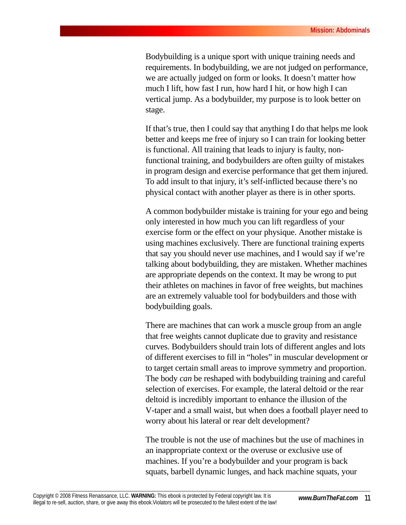Bodybuilding is a unique sport with unique training needs and requirements. In bodybuilding, we are not judged on performance, we are actually judged on form or looks. It doesn't matter how much I lift, how fast I run, how hard I hit, or how high I can vertical jump. As a bodybuilder, my purpose is to look better on stage.

If that's true, then I could say that anything I do that helps me look better and keeps me free of injury so I can train for looking better is functional. All training that leads to injury is faulty, nonfunctional training, and bodybuilders are often guilty of mistakes in program design and exercise performance that get them injured. To add insult to that injury, it's self-inflicted because there's no physical contact with another player as there is in other sports.

A common bodybuilder mistake is training for your ego and being only interested in how much you can lift regardless of your exercise form or the effect on your physique. Another mistake is using machines exclusively. There are functional training experts that say you should never use machines, and I would say if we're talking about bodybuilding, they are mistaken. Whether machines are appropriate depends on the context. It may be wrong to put their athletes on machines in favor of free weights, but machines are an extremely valuable tool for bodybuilders and those with bodybuilding goals.

There are machines that can work a muscle group from an angle that free weights cannot duplicate due to gravity and resistance curves. Bodybuilders should train lots of different angles and lots of different exercises to fill in "holes" in muscular development or to target certain small areas to improve symmetry and proportion. The body *can* be reshaped with bodybuilding training and careful selection of exercises. For example, the lateral deltoid or the rear deltoid is incredibly important to enhance the illusion of the V-taper and a small waist, but when does a football player need to worry about his lateral or rear delt development?

The trouble is not the use of machines but the use of machines in an inappropriate context or the overuse or exclusive use of machines. If you're a bodybuilder and your program is back squats, barbell dynamic lunges, and hack machine squats, your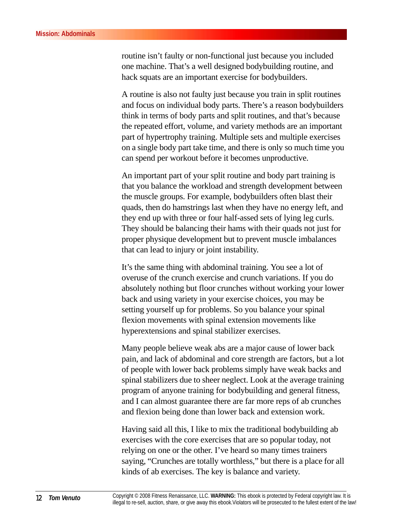routine isn't faulty or non-functional just because you included one machine. That's a well designed bodybuilding routine, and hack squats are an important exercise for bodybuilders.

A routine is also not faulty just because you train in split routines and focus on individual body parts. There's a reason bodybuilders think in terms of body parts and split routines, and that's because the repeated effort, volume, and variety methods are an important part of hypertrophy training. Multiple sets and multiple exercises on a single body part take time, and there is only so much time you can spend per workout before it becomes unproductive.

An important part of your split routine and body part training is that you balance the workload and strength development between the muscle groups. For example, bodybuilders often blast their quads, then do hamstrings last when they have no energy left, and they end up with three or four half-assed sets of lying leg curls. They should be balancing their hams with their quads not just for proper physique development but to prevent muscle imbalances that can lead to injury or joint instability.

It's the same thing with abdominal training. You see a lot of overuse of the crunch exercise and crunch variations. If you do absolutely nothing but floor crunches without working your lower back and using variety in your exercise choices, you may be setting yourself up for problems. So you balance your spinal flexion movements with spinal extension movements like hyperextensions and spinal stabilizer exercises.

Many people believe weak abs are a major cause of lower back pain, and lack of abdominal and core strength are factors, but a lot of people with lower back problems simply have weak backs and spinal stabilizers due to sheer neglect. Look at the average training program of anyone training for bodybuilding and general fitness, and I can almost guarantee there are far more reps of ab crunches and flexion being done than lower back and extension work.

Having said all this, I like to mix the traditional bodybuilding ab exercises with the core exercises that are so popular today, not relying on one or the other. I've heard so many times trainers saying, "Crunches are totally worthless," but there is a place for all kinds of ab exercises. The key is balance and variety.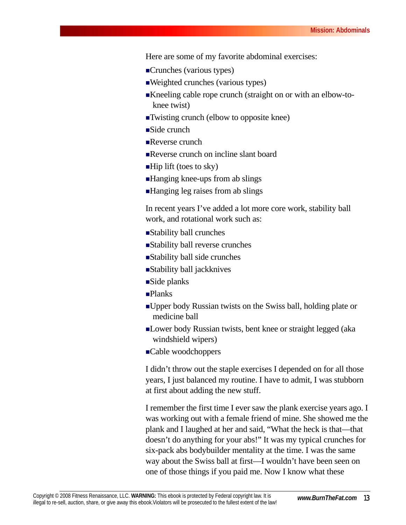Here are some of my favorite abdominal exercises:

- Crunches (various types)
- Weighted crunches (various types)
- Kneeling cable rope crunch (straight on or with an elbow-toknee twist)
- Twisting crunch (elbow to opposite knee)
- ■Side crunch
- Reverse crunch
- Reverse crunch on incline slant board
- $\blacksquare$ Hip lift (toes to sky)
- ■Hanging knee-ups from ab slings
- ■Hanging leg raises from ab slings

In recent years I've added a lot more core work, stability ball work, and rotational work such as:

- Stability ball crunches
- Stability ball reverse crunches
- Stability ball side crunches
- Stability ball jackknives
- ■Side planks
- **Planks**
- Upper body Russian twists on the Swiss ball, holding plate or medicine ball
- Lower body Russian twists, bent knee or straight legged (aka windshield wipers)
- Cable woodchoppers

I didn't throw out the staple exercises I depended on for all those years, I just balanced my routine. I have to admit, I was stubborn at first about adding the new stuff.

I remember the first time I ever saw the plank exercise years ago. I was working out with a female friend of mine. She showed me the plank and I laughed at her and said, "What the heck is that—that doesn't do anything for your abs!" It was my typical crunches for six-pack abs bodybuilder mentality at the time. I was the same way about the Swiss ball at first—I wouldn't have been seen on one of those things if you paid me. Now I know what these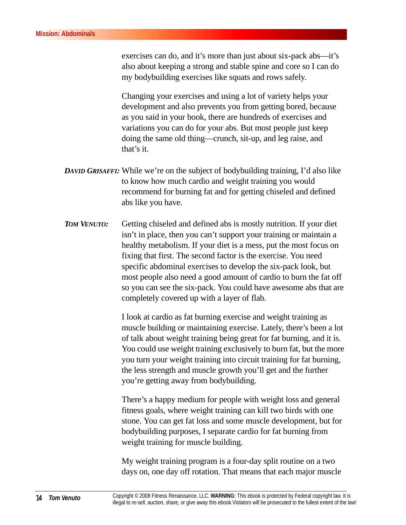exercises can do, and it's more than just about six-pack abs—it's also about keeping a strong and stable spine and core so I can do my bodybuilding exercises like squats and rows safely.

Changing your exercises and using a lot of variety helps your development and also prevents you from getting bored, because as you said in your book, there are hundreds of exercises and variations you can do for your abs. But most people just keep doing the same old thing—crunch, sit-up, and leg raise, and that's it.

- *DAVID GRISAFFI:* While we're on the subject of bodybuilding training, I'd also like to know how much cardio and weight training you would recommend for burning fat and for getting chiseled and defined abs like you have.
- *TOM VENUTO:* Getting chiseled and defined abs is mostly nutrition. If your diet isn't in place, then you can't support your training or maintain a healthy metabolism. If your diet is a mess, put the most focus on fixing that first. The second factor is the exercise. You need specific abdominal exercises to develop the six-pack look, but most people also need a good amount of cardio to burn the fat off so you can see the six-pack. You could have awesome abs that are completely covered up with a layer of flab.

I look at cardio as fat burning exercise and weight training as muscle building or maintaining exercise. Lately, there's been a lot of talk about weight training being great for fat burning, and it is. You could use weight training exclusively to burn fat, but the more you turn your weight training into circuit training for fat burning, the less strength and muscle growth you'll get and the further you're getting away from bodybuilding.

There's a happy medium for people with weight loss and general fitness goals, where weight training can kill two birds with one stone. You can get fat loss and some muscle development, but for bodybuilding purposes, I separate cardio for fat burning from weight training for muscle building.

My weight training program is a four-day split routine on a two days on, one day off rotation. That means that each major muscle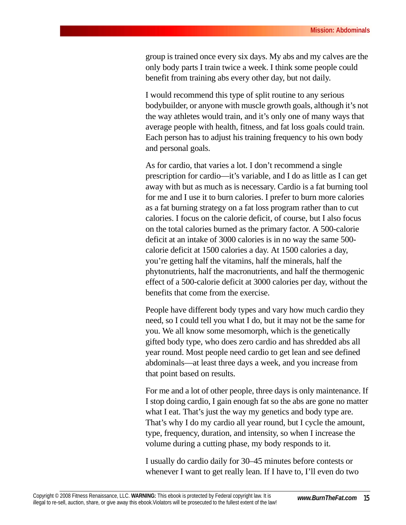group is trained once every six days. My abs and my calves are the only body parts I train twice a week. I think some people could benefit from training abs every other day, but not daily.

I would recommend this type of split routine to any serious bodybuilder, or anyone with muscle growth goals, although it's not the way athletes would train, and it's only one of many ways that average people with health, fitness, and fat loss goals could train. Each person has to adjust his training frequency to his own body and personal goals.

As for cardio, that varies a lot. I don't recommend a single prescription for cardio—it's variable, and I do as little as I can get away with but as much as is necessary. Cardio is a fat burning tool for me and I use it to burn calories. I prefer to burn more calories as a fat burning strategy on a fat loss program rather than to cut calories. I focus on the calorie deficit, of course, but I also focus on the total calories burned as the primary factor. A 500-calorie deficit at an intake of 3000 calories is in no way the same 500 calorie deficit at 1500 calories a day. At 1500 calories a day, you're getting half the vitamins, half the minerals, half the phytonutrients, half the macronutrients, and half the thermogenic effect of a 500-calorie deficit at 3000 calories per day, without the benefits that come from the exercise.

People have different body types and vary how much cardio they need, so I could tell you what I do, but it may not be the same for you. We all know some mesomorph, which is the genetically gifted body type, who does zero cardio and has shredded abs all year round. Most people need cardio to get lean and see defined abdominals—at least three days a week, and you increase from that point based on results.

For me and a lot of other people, three days is only maintenance. If I stop doing cardio, I gain enough fat so the abs are gone no matter what I eat. That's just the way my genetics and body type are. That's why I do my cardio all year round, but I cycle the amount, type, frequency, duration, and intensity, so when I increase the volume during a cutting phase, my body responds to it.

I usually do cardio daily for 30–45 minutes before contests or whenever I want to get really lean. If I have to, I'll even do two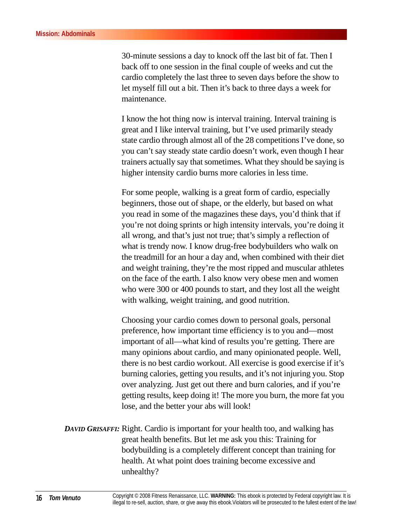30-minute sessions a day to knock off the last bit of fat. Then I back off to one session in the final couple of weeks and cut the cardio completely the last three to seven days before the show to let myself fill out a bit. Then it's back to three days a week for maintenance.

I know the hot thing now is interval training. Interval training is great and I like interval training, but I've used primarily steady state cardio through almost all of the 28 competitions I've done, so you can't say steady state cardio doesn't work, even though I hear trainers actually say that sometimes. What they should be saying is higher intensity cardio burns more calories in less time.

For some people, walking is a great form of cardio, especially beginners, those out of shape, or the elderly, but based on what you read in some of the magazines these days, you'd think that if you're not doing sprints or high intensity intervals, you're doing it all wrong, and that's just not true; that's simply a reflection of what is trendy now. I know drug-free bodybuilders who walk on the treadmill for an hour a day and, when combined with their diet and weight training, they're the most ripped and muscular athletes on the face of the earth. I also know very obese men and women who were 300 or 400 pounds to start, and they lost all the weight with walking, weight training, and good nutrition.

Choosing your cardio comes down to personal goals, personal preference, how important time efficiency is to you and—most important of all—what kind of results you're getting. There are many opinions about cardio, and many opinionated people. Well, there is no best cardio workout. All exercise is good exercise if it's burning calories, getting you results, and it's not injuring you. Stop over analyzing. Just get out there and burn calories, and if you're getting results, keep doing it! The more you burn, the more fat you lose, and the better your abs will look!

*DAVID GRISAFFI:* Right. Cardio is important for your health too, and walking has great health benefits. But let me ask you this: Training for bodybuilding is a completely different concept than training for health. At what point does training become excessive and unhealthy?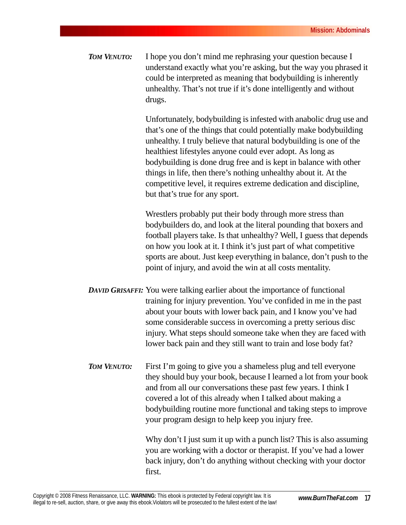*TOM VENUTO:* I hope you don't mind me rephrasing your question because I understand exactly what you're asking, but the way you phrased it could be interpreted as meaning that bodybuilding is inherently unhealthy. That's not true if it's done intelligently and without drugs.

> Unfortunately, bodybuilding is infested with anabolic drug use and that's one of the things that could potentially make bodybuilding unhealthy. I truly believe that natural bodybuilding is one of the healthiest lifestyles anyone could ever adopt. As long as bodybuilding is done drug free and is kept in balance with other things in life, then there's nothing unhealthy about it. At the competitive level, it requires extreme dedication and discipline, but that's true for any sport.

> Wrestlers probably put their body through more stress than bodybuilders do, and look at the literal pounding that boxers and football players take. Is that unhealthy? Well, I guess that depends on how you look at it. I think it's just part of what competitive sports are about. Just keep everything in balance, don't push to the point of injury, and avoid the win at all costs mentality.

- *DAVID GRISAFFI:* You were talking earlier about the importance of functional training for injury prevention. You've confided in me in the past about your bouts with lower back pain, and I know you've had some considerable success in overcoming a pretty serious disc injury. What steps should someone take when they are faced with lower back pain and they still want to train and lose body fat?
- *TOM VENUTO:* First I'm going to give you a shameless plug and tell everyone they should buy your book, because I learned a lot from your book and from all our conversations these past few years. I think I covered a lot of this already when I talked about making a bodybuilding routine more functional and taking steps to improve your program design to help keep you injury free.

Why don't I just sum it up with a punch list? This is also assuming you are working with a doctor or therapist. If you've had a lower back injury, don't do anything without checking with your doctor first.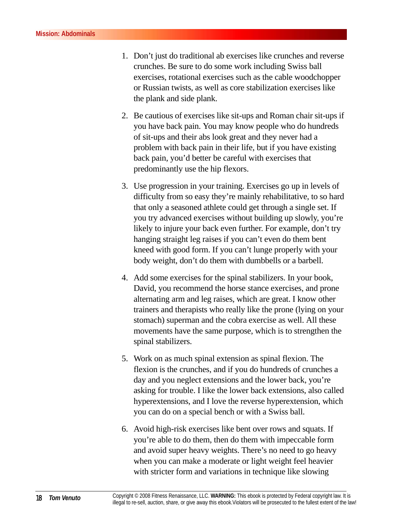- 1. Don't just do traditional ab exercises like crunches and reverse crunches. Be sure to do some work including Swiss ball exercises, rotational exercises such as the cable woodchopper or Russian twists, as well as core stabilization exercises like the plank and side plank.
- 2. Be cautious of exercises like sit-ups and Roman chair sit-ups if you have back pain. You may know people who do hundreds of sit-ups and their abs look great and they never had a problem with back pain in their life, but if you have existing back pain, you'd better be careful with exercises that predominantly use the hip flexors.
- 3. Use progression in your training. Exercises go up in levels of difficulty from so easy they're mainly rehabilitative, to so hard that only a seasoned athlete could get through a single set. If you try advanced exercises without building up slowly, you're likely to injure your back even further. For example, don't try hanging straight leg raises if you can't even do them bent kneed with good form. If you can't lunge properly with your body weight, don't do them with dumbbells or a barbell.
- 4. Add some exercises for the spinal stabilizers. In your book, David, you recommend the horse stance exercises, and prone alternating arm and leg raises, which are great. I know other trainers and therapists who really like the prone (lying on your stomach) superman and the cobra exercise as well. All these movements have the same purpose, which is to strengthen the spinal stabilizers.
- 5. Work on as much spinal extension as spinal flexion. The flexion is the crunches, and if you do hundreds of crunches a day and you neglect extensions and the lower back, you're asking for trouble. I like the lower back extensions, also called hyperextensions, and I love the reverse hyperextension, which you can do on a special bench or with a Swiss ball.
- 6. Avoid high-risk exercises like bent over rows and squats. If you're able to do them, then do them with impeccable form and avoid super heavy weights. There's no need to go heavy when you can make a moderate or light weight feel heavier with stricter form and variations in technique like slowing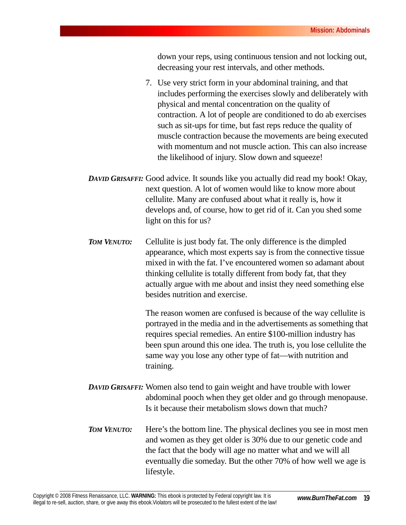down your reps, using continuous tension and not locking out, decreasing your rest intervals, and other methods.

- 7. Use very strict form in your abdominal training, and that includes performing the exercises slowly and deliberately with physical and mental concentration on the quality of contraction. A lot of people are conditioned to do ab exercises such as sit-ups for time, but fast reps reduce the quality of muscle contraction because the movements are being executed with momentum and not muscle action. This can also increase the likelihood of injury. Slow down and squeeze!
- *DAVID GRISAFFI:* Good advice. It sounds like you actually did read my book! Okay, next question. A lot of women would like to know more about cellulite. Many are confused about what it really is, how it develops and, of course, how to get rid of it. Can you shed some light on this for us?
- **TOM VENUTO:** Cellulite is just body fat. The only difference is the dimpled appearance, which most experts say is from the connective tissue mixed in with the fat. I've encountered women so adamant about thinking cellulite is totally different from body fat, that they actually argue with me about and insist they need something else besides nutrition and exercise.

The reason women are confused is because of the way cellulite is portrayed in the media and in the advertisements as something that requires special remedies. An entire \$100-million industry has been spun around this one idea. The truth is, you lose cellulite the same way you lose any other type of fat—with nutrition and training.

- *DAVID GRISAFFI:* Women also tend to gain weight and have trouble with lower abdominal pooch when they get older and go through menopause. Is it because their metabolism slows down that much?
- *TOM VENUTO:* Here's the bottom line. The physical declines you see in most men and women as they get older is 30% due to our genetic code and the fact that the body will age no matter what and we will all eventually die someday. But the other 70% of how well we age is lifestyle.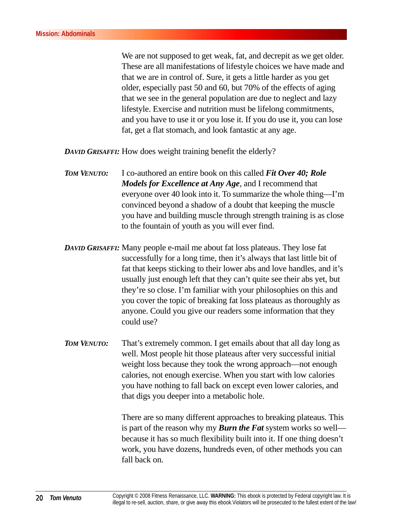We are not supposed to get weak, fat, and decrepit as we get older. These are all manifestations of lifestyle choices we have made and that we are in control of. Sure, it gets a little harder as you get older, especially past 50 and 60, but 70% of the effects of aging that we see in the general population are due to neglect and lazy lifestyle. Exercise and nutrition must be lifelong commitments, and you have to use it or you lose it. If you do use it, you can lose fat, get a flat stomach, and look fantastic at any age.

*DAVID GRISAFFI:* How does weight training benefit the elderly?

- *TOM VENUTO:* I co-authored an entire book on this called *Fit Over 40; Role Models for Excellence at Any Age*, and I recommend that everyone over 40 look into it. To summarize the whole thing—I'm convinced beyond a shadow of a doubt that keeping the muscle you have and building muscle through strength training is as close to the fountain of youth as you will ever find.
- *DAVID GRISAFFI:* Many people e-mail me about fat loss plateaus. They lose fat successfully for a long time, then it's always that last little bit of fat that keeps sticking to their lower abs and love handles, and it's usually just enough left that they can't quite see their abs yet, but they're so close. I'm familiar with your philosophies on this and you cover the topic of breaking fat loss plateaus as thoroughly as anyone. Could you give our readers some information that they could use?
- *TOM VENUTO:* That's extremely common. I get emails about that all day long as well. Most people hit those plateaus after very successful initial weight loss because they took the wrong approach—not enough calories, not enough exercise. When you start with low calories you have nothing to fall back on except even lower calories, and that digs you deeper into a metabolic hole.

There are so many different approaches to breaking plateaus. This is part of the reason why my *Burn the Fat* system works so well because it has so much flexibility built into it. If one thing doesn't work, you have dozens, hundreds even, of other methods you can fall back on.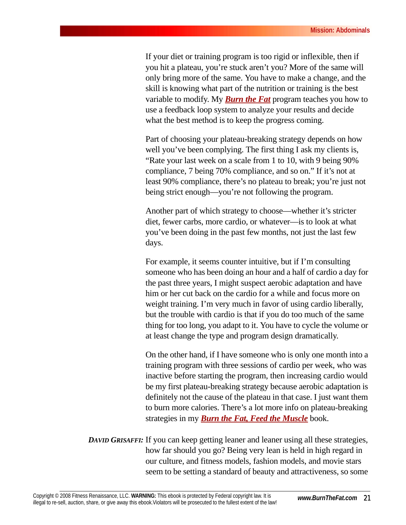If your diet or training program is too rigid or inflexible, then if you hit a plateau, you're stuck aren't you? More of the same will only bring more of the same. You have to make a change, and the skill is knowing what part of the nutrition or training is the best variable to modify. My *[Burn the Fat](http://matynne54.burnthefat.hop.clickbank.net)* program teaches you how to use a feedback loop system to analyze your results and decide what the best method is to keep the progress coming.

Part of choosing your plateau-breaking strategy depends on how well you've been complying. The first thing I ask my clients is, "Rate your last week on a scale from 1 to 10, with 9 being 90% compliance, 7 being 70% compliance, and so on." If it's not at least 90% compliance, there's no plateau to break; you're just not being strict enough—you're not following the program.

Another part of which strategy to choose—whether it's stricter diet, fewer carbs, more cardio, or whatever—is to look at what you've been doing in the past few months, not just the last few days.

For example, it seems counter intuitive, but if I'm consulting someone who has been doing an hour and a half of cardio a day for the past three years, I might suspect aerobic adaptation and have him or her cut back on the cardio for a while and focus more on weight training. I'm very much in favor of using cardio liberally, but the trouble with cardio is that if you do too much of the same thing for too long, you adapt to it. You have to cycle the volume or at least change the type and program design dramatically.

On the other hand, if I have someone who is only one month into a training program with three sessions of cardio per week, who was inactive before starting the program, then increasing cardio would be my first plateau-breaking strategy because aerobic adaptation is definitely not the cause of the plateau in that case. I just want them to burn more calories. There's a lot more info on plateau-breaking strategies in my *[Burn the Fat, Feed the Muscle](http://matynne54.burnthefat.hop.clickbank.net)* book.

*DAVID GRISAFFI:* If you can keep getting leaner and leaner using all these strategies, how far should you go? Being very lean is held in high regard in our culture, and fitness models, fashion models, and movie stars seem to be setting a standard of beauty and attractiveness, so some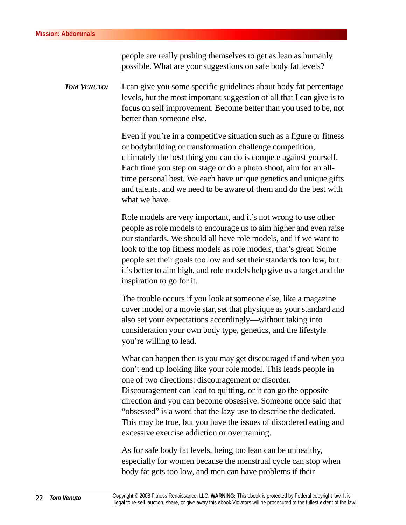people are really pushing themselves to get as lean as humanly possible. What are your suggestions on safe body fat levels?

*TOM VENUTO:* I can give you some specific guidelines about body fat percentage levels, but the most important suggestion of all that I can give is to focus on self improvement. Become better than you used to be, not better than someone else.

> Even if you're in a competitive situation such as a figure or fitness or bodybuilding or transformation challenge competition, ultimately the best thing you can do is compete against yourself. Each time you step on stage or do a photo shoot, aim for an alltime personal best. We each have unique genetics and unique gifts and talents, and we need to be aware of them and do the best with what we have.

> Role models are very important, and it's not wrong to use other people as role models to encourage us to aim higher and even raise our standards. We should all have role models, and if we want to look to the top fitness models as role models, that's great. Some people set their goals too low and set their standards too low, but it's better to aim high, and role models help give us a target and the inspiration to go for it.

> The trouble occurs if you look at someone else, like a magazine cover model or a movie star, set that physique as your standard and also set your expectations accordingly—without taking into consideration your own body type, genetics, and the lifestyle you're willing to lead.

> What can happen then is you may get discouraged if and when you don't end up looking like your role model. This leads people in one of two directions: discouragement or disorder. Discouragement can lead to quitting, or it can go the opposite direction and you can become obsessive. Someone once said that "obsessed" is a word that the lazy use to describe the dedicated. This may be true, but you have the issues of disordered eating and excessive exercise addiction or overtraining.

As for safe body fat levels, being too lean can be unhealthy, especially for women because the menstrual cycle can stop when body fat gets too low, and men can have problems if their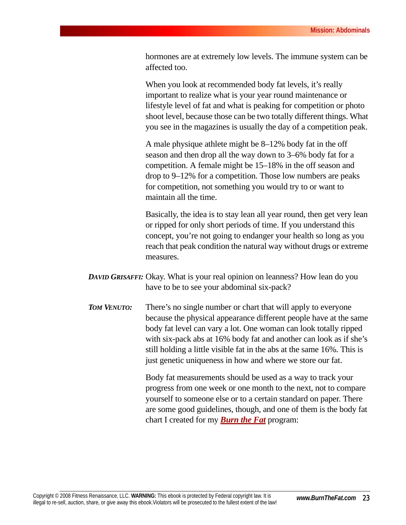hormones are at extremely low levels. The immune system can be affected too.

When you look at recommended body fat levels, it's really important to realize what is your year round maintenance or lifestyle level of fat and what is peaking for competition or photo shoot level, because those can be two totally different things. What you see in the magazines is usually the day of a competition peak.

A male physique athlete might be 8–12% body fat in the off season and then drop all the way down to 3–6% body fat for a competition. A female might be 15–18% in the off season and drop to 9–12% for a competition. Those low numbers are peaks for competition, not something you would try to or want to maintain all the time.

Basically, the idea is to stay lean all year round, then get very lean or ripped for only short periods of time. If you understand this concept, you're not going to endanger your health so long as you reach that peak condition the natural way without drugs or extreme measures.

- *DAVID GRISAFFI:* Okay. What is your real opinion on leanness? How lean do you have to be to see your abdominal six-pack?
- *TOM VENUTO:* There's no single number or chart that will apply to everyone because the physical appearance different people have at the same body fat level can vary a lot. One woman can look totally ripped with six-pack abs at 16% body fat and another can look as if she's still holding a little visible fat in the abs at the same 16%. This is just genetic uniqueness in how and where we store our fat.

Body fat measurements should be used as a way to track your progress from one week or one month to the next, not to compare yourself to someone else or to a certain standard on paper. There are some good guidelines, though, and one of them is the body fat chart I created for my *[Burn the Fat](http://matynne54.burnthefat.hop.clickbank.net)* program: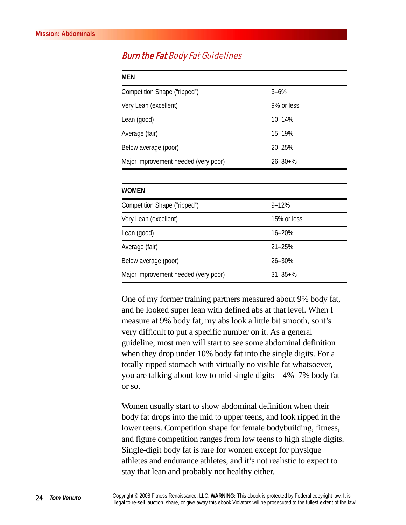#### **Burn the Fat Body Fat Guidelines**

| MEN                                  |                |  |
|--------------------------------------|----------------|--|
| Competition Shape ("ripped")         | $3 - 6%$       |  |
| Very Lean (excellent)                | 9% or less     |  |
| Lean (good)                          | 10-14%         |  |
| Average (fair)                       | 15-19%         |  |
| Below average (poor)                 | $20 - 25%$     |  |
| Major improvement needed (very poor) | $26 - 30 + \%$ |  |

| <b>WOMEN</b>                         |                |  |
|--------------------------------------|----------------|--|
| Competition Shape ("ripped")         | $9 - 12%$      |  |
| Very Lean (excellent)                | 15% or less    |  |
| Lean (good)                          | $16 - 20%$     |  |
| Average (fair)                       | $21 - 25%$     |  |
| Below average (poor)                 | 26-30%         |  |
| Major improvement needed (very poor) | $31 - 35 + \%$ |  |

One of my former training partners measured about 9% body fat, and he looked super lean with defined abs at that level. When I measure at 9% body fat, my abs look a little bit smooth, so it's very difficult to put a specific number on it. As a general guideline, most men will start to see some abdominal definition when they drop under 10% body fat into the single digits. For a totally ripped stomach with virtually no visible fat whatsoever, you are talking about low to mid single digits—4%–7% body fat or so.

Women usually start to show abdominal definition when their body fat drops into the mid to upper teens, and look ripped in the lower teens. Competition shape for female bodybuilding, fitness, and figure competition ranges from low teens to high single digits. Single-digit body fat is rare for women except for physique athletes and endurance athletes, and it's not realistic to expect to stay that lean and probably not healthy either.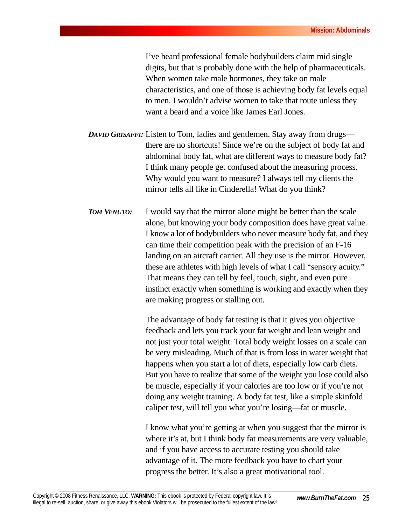I've heard professional female bodybuilders claim mid single digits, but that is probably done with the help of pharmaceuticals. When women take male hormones, they take on male characteristics, and one of those is achieving body fat levels equal to men. I wouldn't advise women to take that route unless they want a beard and a voice like James Earl Jones.

*DAVID GRISAFFI:* Listen to Tom, ladies and gentlemen. Stay away from drugs there are no shortcuts! Since we're on the subject of body fat and abdominal body fat, what are different ways to measure body fat? I think many people get confused about the measuring process. Why would you want to measure? I always tell my clients the mirror tells all like in Cinderella! What do you think?

*TOM VENUTO:* I would say that the mirror alone might be better than the scale alone, but knowing your body composition does have great value. I know a lot of bodybuilders who never measure body fat, and they can time their competition peak with the precision of an F-16 landing on an aircraft carrier. All they use is the mirror. However, these are athletes with high levels of what I call "sensory acuity." That means they can tell by feel, touch, sight, and even pure instinct exactly when something is working and exactly when they are making progress or stalling out.

> The advantage of body fat testing is that it gives you objective feedback and lets you track your fat weight and lean weight and not just your total weight. Total body weight losses on a scale can be very misleading. Much of that is from loss in water weight that happens when you start a lot of diets, especially low carb diets. But you have to realize that some of the weight you lose could also be muscle, especially if your calories are too low or if you're not doing any weight training. A body fat test, like a simple skinfold caliper test, will tell you what you're losing—fat or muscle.

> I know what you're getting at when you suggest that the mirror is where it's at, but I think body fat measurements are very valuable, and if you have access to accurate testing you should take advantage of it. The more feedback you have to chart your progress the better. It's also a great motivational tool.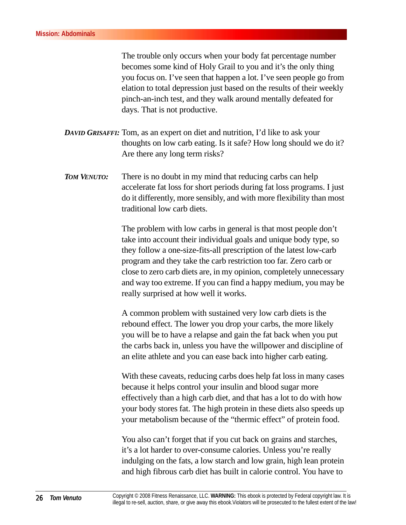The trouble only occurs when your body fat percentage number becomes some kind of Holy Grail to you and it's the only thing you focus on. I've seen that happen a lot. I've seen people go from elation to total depression just based on the results of their weekly pinch-an-inch test, and they walk around mentally defeated for days. That is not productive.

- *DAVID GRISAFFI:* Tom, as an expert on diet and nutrition, I'd like to ask your thoughts on low carb eating. Is it safe? How long should we do it? Are there any long term risks?
- *TOM VENUTO:* There is no doubt in my mind that reducing carbs can help accelerate fat loss for short periods during fat loss programs. I just do it differently, more sensibly, and with more flexibility than most traditional low carb diets.

The problem with low carbs in general is that most people don't take into account their individual goals and unique body type, so they follow a one-size-fits-all prescription of the latest low-carb program and they take the carb restriction too far. Zero carb or close to zero carb diets are, in my opinion, completely unnecessary and way too extreme. If you can find a happy medium, you may be really surprised at how well it works.

A common problem with sustained very low carb diets is the rebound effect. The lower you drop your carbs, the more likely you will be to have a relapse and gain the fat back when you put the carbs back in, unless you have the willpower and discipline of an elite athlete and you can ease back into higher carb eating.

With these caveats, reducing carbs does help fat loss in many cases because it helps control your insulin and blood sugar more effectively than a high carb diet, and that has a lot to do with how your body stores fat. The high protein in these diets also speeds up your metabolism because of the "thermic effect" of protein food.

You also can't forget that if you cut back on grains and starches, it's a lot harder to over-consume calories. Unless you're really indulging on the fats, a low starch and low grain, high lean protein and high fibrous carb diet has built in calorie control. You have to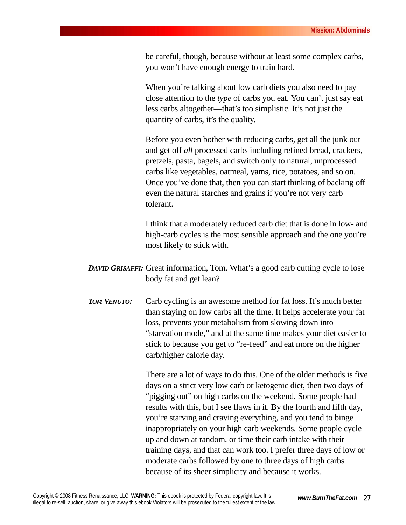be careful, though, because without at least some complex carbs, you won't have enough energy to train hard.

When you're talking about low carb diets you also need to pay close attention to the *type* of carbs you eat. You can't just say eat less carbs altogether—that's too simplistic. It's not just the quantity of carbs, it's the quality.

Before you even bother with reducing carbs, get all the junk out and get off *all* processed carbs including refined bread, crackers, pretzels, pasta, bagels, and switch only to natural, unprocessed carbs like vegetables, oatmeal, yams, rice, potatoes, and so on. Once you've done that, then you can start thinking of backing off even the natural starches and grains if you're not very carb tolerant.

I think that a moderately reduced carb diet that is done in low- and high-carb cycles is the most sensible approach and the one you're most likely to stick with.

- *DAVID GRISAFFI:* Great information, Tom. What's a good carb cutting cycle to lose body fat and get lean?
- *TOM VENUTO:* Carb cycling is an awesome method for fat loss. It's much better than staying on low carbs all the time. It helps accelerate your fat loss, prevents your metabolism from slowing down into "starvation mode," and at the same time makes your diet easier to stick to because you get to "re-feed" and eat more on the higher carb/higher calorie day.

There are a lot of ways to do this. One of the older methods is five days on a strict very low carb or ketogenic diet, then two days of "pigging out" on high carbs on the weekend. Some people had results with this, but I see flaws in it. By the fourth and fifth day, you're starving and craving everything, and you tend to binge inappropriately on your high carb weekends. Some people cycle up and down at random, or time their carb intake with their training days, and that can work too. I prefer three days of low or moderate carbs followed by one to three days of high carbs because of its sheer simplicity and because it works.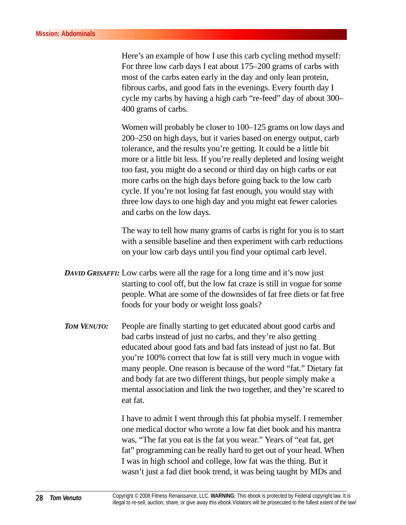Here's an example of how I use this carb cycling method myself: For three low carb days I eat about 175–200 grams of carbs with most of the carbs eaten early in the day and only lean protein, fibrous carbs, and good fats in the evenings. Every fourth day I cycle my carbs by having a high carb "re-feed" day of about 300– 400 grams of carbs.

Women will probably be closer to 100–125 grams on low days and 200–250 on high days, but it varies based on energy output, carb tolerance, and the results you're getting. It could be a little bit more or a little bit less. If you're really depleted and losing weight too fast, you might do a second or third day on high carbs or eat more carbs on the high days before going back to the low carb cycle. If you're not losing fat fast enough, you would stay with three low days to one high day and you might eat fewer calories and carbs on the low days.

The way to tell how many grams of carbs is right for you is to start with a sensible baseline and then experiment with carb reductions on your low carb days until you find your optimal carb level.

- *DAVID GRISAFFI:* Low carbs were all the rage for a long time and it's now just starting to cool off, but the low fat craze is still in vogue for some people. What are some of the downsides of fat free diets or fat free foods for your body or weight loss goals?
- *TOM VENUTO:* People are finally starting to get educated about good carbs and bad carbs instead of just no carbs, and they're also getting educated about good fats and bad fats instead of just no fat. But you're 100% correct that low fat is still very much in vogue with many people. One reason is because of the word "fat." Dietary fat and body fat are two different things, but people simply make a mental association and link the two together, and they're scared to eat fat.

I have to admit I went through this fat phobia myself. I remember one medical doctor who wrote a low fat diet book and his mantra was, "The fat you eat is the fat you wear." Years of "eat fat, get fat" programming can be really hard to get out of your head. When I was in high school and college, low fat was the thing. But it wasn't just a fad diet book trend, it was being taught by MDs and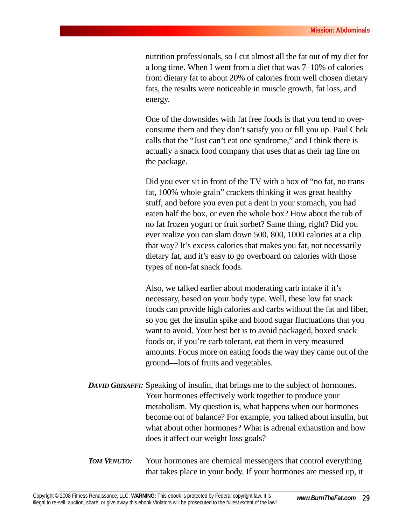nutrition professionals, so I cut almost all the fat out of my diet for a long time. When I went from a diet that was 7–10% of calories from dietary fat to about 20% of calories from well chosen dietary fats, the results were noticeable in muscle growth, fat loss, and energy.

One of the downsides with fat free foods is that you tend to overconsume them and they don't satisfy you or fill you up. Paul Chek calls that the "Just can't eat one syndrome," and I think there is actually a snack food company that uses that as their tag line on the package.

Did you ever sit in front of the TV with a box of "no fat, no trans fat, 100% whole grain" crackers thinking it was great healthy stuff, and before you even put a dent in your stomach, you had eaten half the box, or even the whole box? How about the tub of no fat frozen yogurt or fruit sorbet? Same thing, right? Did you ever realize you can slam down 500, 800, 1000 calories at a clip that way? It's excess calories that makes you fat, not necessarily dietary fat, and it's easy to go overboard on calories with those types of non-fat snack foods.

Also, we talked earlier about moderating carb intake if it's necessary, based on your body type. Well, these low fat snack foods can provide high calories and carbs without the fat and fiber, so you get the insulin spike and blood sugar fluctuations that you want to avoid. Your best bet is to avoid packaged, boxed snack foods or, if you're carb tolerant, eat them in very measured amounts. Focus more on eating foods the way they came out of the ground—lots of fruits and vegetables.

- *DAVID GRISAFFI:* Speaking of insulin, that brings me to the subject of hormones. Your hormones effectively work together to produce your metabolism. My question is, what happens when our hormones become out of balance? For example, you talked about insulin, but what about other hormones? What is adrenal exhaustion and how does it affect our weight loss goals?
- *TOM VENUTO:* Your hormones are chemical messengers that control everything that takes place in your body. If your hormones are messed up, it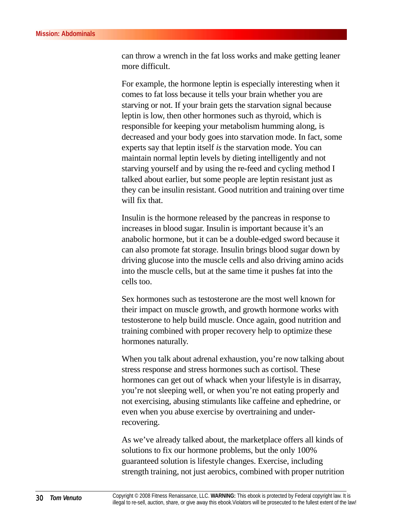can throw a wrench in the fat loss works and make getting leaner more difficult.

For example, the hormone leptin is especially interesting when it comes to fat loss because it tells your brain whether you are starving or not. If your brain gets the starvation signal because leptin is low, then other hormones such as thyroid, which is responsible for keeping your metabolism humming along, is decreased and your body goes into starvation mode. In fact, some experts say that leptin itself *is* the starvation mode. You can maintain normal leptin levels by dieting intelligently and not starving yourself and by using the re-feed and cycling method I talked about earlier, but some people are leptin resistant just as they can be insulin resistant. Good nutrition and training over time will fix that.

Insulin is the hormone released by the pancreas in response to increases in blood sugar. Insulin is important because it's an anabolic hormone, but it can be a double-edged sword because it can also promote fat storage. Insulin brings blood sugar down by driving glucose into the muscle cells and also driving amino acids into the muscle cells, but at the same time it pushes fat into the cells too.

Sex hormones such as testosterone are the most well known for their impact on muscle growth, and growth hormone works with testosterone to help build muscle. Once again, good nutrition and training combined with proper recovery help to optimize these hormones naturally.

When you talk about adrenal exhaustion, you're now talking about stress response and stress hormones such as cortisol. These hormones can get out of whack when your lifestyle is in disarray, you're not sleeping well, or when you're not eating properly and not exercising, abusing stimulants like caffeine and ephedrine, or even when you abuse exercise by overtraining and underrecovering.

As we've already talked about, the marketplace offers all kinds of solutions to fix our hormone problems, but the only 100% guaranteed solution is lifestyle changes. Exercise, including strength training, not just aerobics, combined with proper nutrition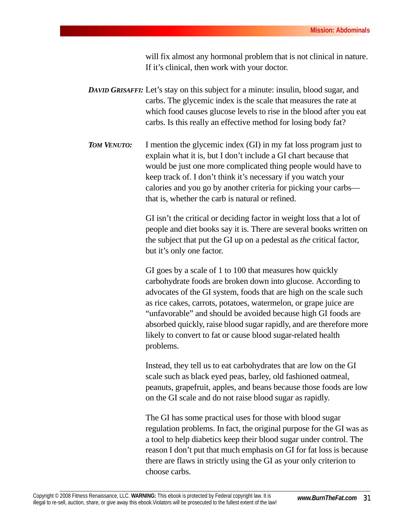will fix almost any hormonal problem that is not clinical in nature. If it's clinical, then work with your doctor.

- *DAVID GRISAFFI:* Let's stay on this subject for a minute: insulin, blood sugar, and carbs. The glycemic index is the scale that measures the rate at which food causes glucose levels to rise in the blood after you eat carbs. Is this really an effective method for losing body fat?
- *TOM VENUTO:* I mention the glycemic index (GI) in my fat loss program just to explain what it is, but I don't include a GI chart because that would be just one more complicated thing people would have to keep track of. I don't think it's necessary if you watch your calories and you go by another criteria for picking your carbs that is, whether the carb is natural or refined.

GI isn't the critical or deciding factor in weight loss that a lot of people and diet books say it is. There are several books written on the subject that put the GI up on a pedestal as *the* critical factor, but it's only one factor.

GI goes by a scale of 1 to 100 that measures how quickly carbohydrate foods are broken down into glucose. According to advocates of the GI system, foods that are high on the scale such as rice cakes, carrots, potatoes, watermelon, or grape juice are "unfavorable" and should be avoided because high GI foods are absorbed quickly, raise blood sugar rapidly, and are therefore more likely to convert to fat or cause blood sugar-related health problems.

Instead, they tell us to eat carbohydrates that are low on the GI scale such as black eyed peas, barley, old fashioned oatmeal, peanuts, grapefruit, apples, and beans because those foods are low on the GI scale and do not raise blood sugar as rapidly.

The GI has some practical uses for those with blood sugar regulation problems. In fact, the original purpose for the GI was as a tool to help diabetics keep their blood sugar under control. The reason I don't put that much emphasis on GI for fat loss is because there are flaws in strictly using the GI as your only criterion to choose carbs.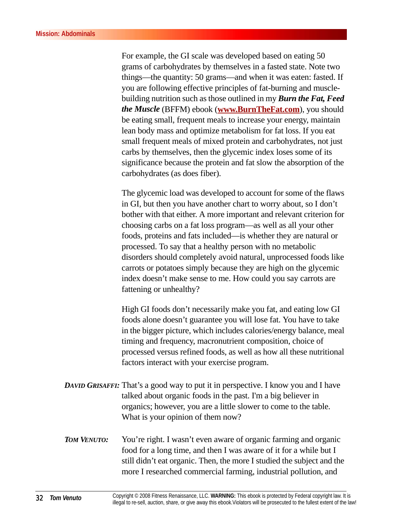For example, the GI scale was developed based on eating 50 grams of carbohydrates by themselves in a fasted state. Note two things—the quantity: 50 grams—and when it was eaten: fasted. If you are following effective principles of fat-burning and musclebuilding nutrition such as those outlined in my *Burn the Fat, Feed the Muscle* (BFFM) ebook (**[www.BurnTheFat.com](http://matynne54.burnthefat.hop.clickbank.net)**), you should be eating small, frequent meals to increase your energy, maintain lean body mass and optimize metabolism for fat loss. If you eat small frequent meals of mixed protein and carbohydrates, not just carbs by themselves, then the glycemic index loses some of its significance because the protein and fat slow the absorption of the carbohydrates (as does fiber).

The glycemic load was developed to account for some of the flaws in GI, but then you have another chart to worry about, so I don't bother with that either. A more important and relevant criterion for choosing carbs on a fat loss program—as well as all your other foods, proteins and fats included—is whether they are natural or processed. To say that a healthy person with no metabolic disorders should completely avoid natural, unprocessed foods like carrots or potatoes simply because they are high on the glycemic index doesn't make sense to me. How could you say carrots are fattening or unhealthy?

High GI foods don't necessarily make you fat, and eating low GI foods alone doesn't guarantee you will lose fat. You have to take in the bigger picture, which includes calories/energy balance, meal timing and frequency, macronutrient composition, choice of processed versus refined foods, as well as how all these nutritional factors interact with your exercise program.

- *DAVID GRISAFFI:* That's a good way to put it in perspective. I know you and I have talked about organic foods in the past. I'm a big believer in organics; however, you are a little slower to come to the table. What is your opinion of them now?
- *TOM VENUTO:* You're right. I wasn't even aware of organic farming and organic food for a long time, and then I was aware of it for a while but I still didn't eat organic. Then, the more I studied the subject and the more I researched commercial farming, industrial pollution, and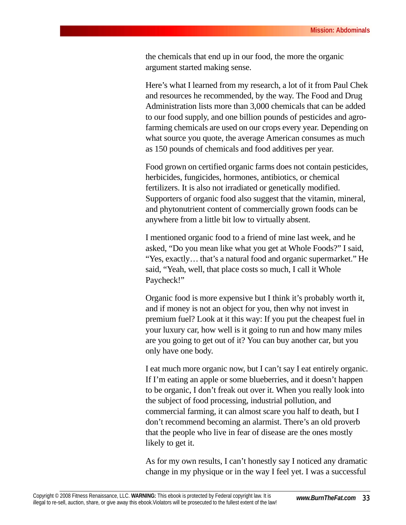the chemicals that end up in our food, the more the organic argument started making sense.

Here's what I learned from my research, a lot of it from Paul Chek and resources he recommended, by the way. The Food and Drug Administration lists more than 3,000 chemicals that can be added to our food supply, and one billion pounds of pesticides and agrofarming chemicals are used on our crops every year. Depending on what source you quote, the average American consumes as much as 150 pounds of chemicals and food additives per year.

Food grown on certified organic farms does not contain pesticides, herbicides, fungicides, hormones, antibiotics, or chemical fertilizers. It is also not irradiated or genetically modified. Supporters of organic food also suggest that the vitamin, mineral, and phytonutrient content of commercially grown foods can be anywhere from a little bit low to virtually absent.

I mentioned organic food to a friend of mine last week, and he asked, "Do you mean like what you get at Whole Foods?" I said, "Yes, exactly… that's a natural food and organic supermarket." He said, "Yeah, well, that place costs so much, I call it Whole Paycheck!"

Organic food is more expensive but I think it's probably worth it, and if money is not an object for you, then why not invest in premium fuel? Look at it this way: If you put the cheapest fuel in your luxury car, how well is it going to run and how many miles are you going to get out of it? You can buy another car, but you only have one body.

I eat much more organic now, but I can't say I eat entirely organic. If I'm eating an apple or some blueberries, and it doesn't happen to be organic, I don't freak out over it. When you really look into the subject of food processing, industrial pollution, and commercial farming, it can almost scare you half to death, but I don't recommend becoming an alarmist. There's an old proverb that the people who live in fear of disease are the ones mostly likely to get it.

As for my own results, I can't honestly say I noticed any dramatic change in my physique or in the way I feel yet. I was a successful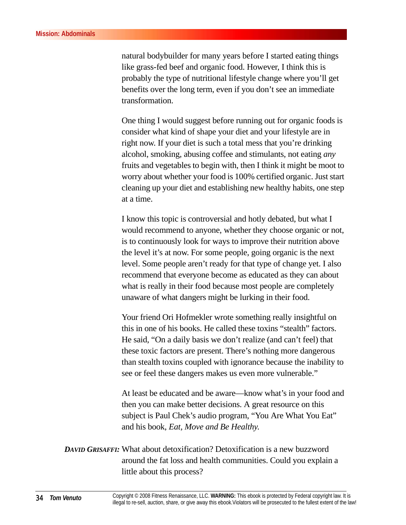natural bodybuilder for many years before I started eating things like grass-fed beef and organic food. However, I think this is probably the type of nutritional lifestyle change where you'll get benefits over the long term, even if you don't see an immediate transformation.

One thing I would suggest before running out for organic foods is consider what kind of shape your diet and your lifestyle are in right now. If your diet is such a total mess that you're drinking alcohol, smoking, abusing coffee and stimulants, not eating *any* fruits and vegetables to begin with, then I think it might be moot to worry about whether your food is 100% certified organic. Just start cleaning up your diet and establishing new healthy habits, one step at a time.

I know this topic is controversial and hotly debated, but what I would recommend to anyone, whether they choose organic or not, is to continuously look for ways to improve their nutrition above the level it's at now. For some people, going organic is the next level. Some people aren't ready for that type of change yet. I also recommend that everyone become as educated as they can about what is really in their food because most people are completely unaware of what dangers might be lurking in their food.

Your friend Ori Hofmekler wrote something really insightful on this in one of his books. He called these toxins "stealth" factors. He said, "On a daily basis we don't realize (and can't feel) that these toxic factors are present. There's nothing more dangerous than stealth toxins coupled with ignorance because the inability to see or feel these dangers makes us even more vulnerable."

At least be educated and be aware—know what's in your food and then you can make better decisions. A great resource on this subject is Paul Chek's audio program, "You Are What You Eat" and his book, *Eat, Move and Be Healthy*.

*DAVID GRISAFFI:* What about detoxification? Detoxification is a new buzzword around the fat loss and health communities. Could you explain a little about this process?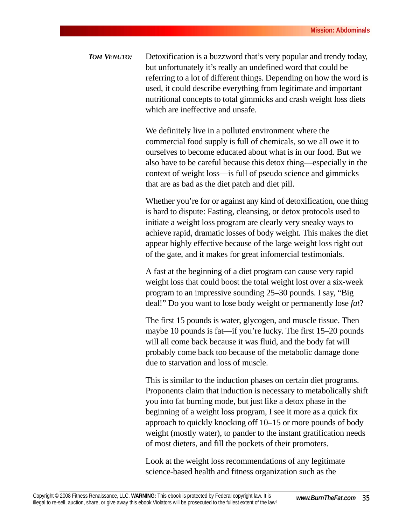*TOM VENUTO:* Detoxification is a buzzword that's very popular and trendy today, but unfortunately it's really an undefined word that could be referring to a lot of different things. Depending on how the word is used, it could describe everything from legitimate and important nutritional concepts to total gimmicks and crash weight loss diets which are ineffective and unsafe.

> We definitely live in a polluted environment where the commercial food supply is full of chemicals, so we all owe it to ourselves to become educated about what is in our food. But we also have to be careful because this detox thing—especially in the context of weight loss—is full of pseudo science and gimmicks that are as bad as the diet patch and diet pill.

> Whether you're for or against any kind of detoxification, one thing is hard to dispute: Fasting, cleansing, or detox protocols used to initiate a weight loss program are clearly very sneaky ways to achieve rapid, dramatic losses of body weight. This makes the diet appear highly effective because of the large weight loss right out of the gate, and it makes for great infomercial testimonials.

A fast at the beginning of a diet program can cause very rapid weight loss that could boost the total weight lost over a six-week program to an impressive sounding 25–30 pounds. I say, "Big deal!" Do you want to lose body weight or permanently lose *fat*?

The first 15 pounds is water, glycogen, and muscle tissue. Then maybe 10 pounds is fat—if you're lucky. The first 15–20 pounds will all come back because it was fluid, and the body fat will probably come back too because of the metabolic damage done due to starvation and loss of muscle.

This is similar to the induction phases on certain diet programs. Proponents claim that induction is necessary to metabolically shift you into fat burning mode, but just like a detox phase in the beginning of a weight loss program, I see it more as a quick fix approach to quickly knocking off 10–15 or more pounds of body weight (mostly water), to pander to the instant gratification needs of most dieters, and fill the pockets of their promoters.

Look at the weight loss recommendations of any legitimate science-based health and fitness organization such as the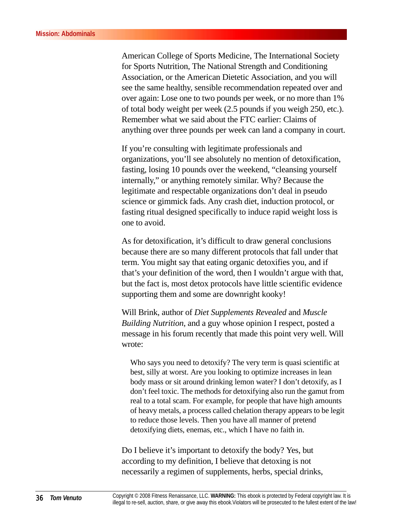American College of Sports Medicine, The International Society for Sports Nutrition, The National Strength and Conditioning Association, or the American Dietetic Association, and you will see the same healthy, sensible recommendation repeated over and over again: Lose one to two pounds per week, or no more than 1% of total body weight per week (2.5 pounds if you weigh 250, etc.). Remember what we said about the FTC earlier: Claims of anything over three pounds per week can land a company in court.

If you're consulting with legitimate professionals and organizations, you'll see absolutely no mention of detoxification, fasting, losing 10 pounds over the weekend, "cleansing yourself internally," or anything remotely similar. Why? Because the legitimate and respectable organizations don't deal in pseudo science or gimmick fads. Any crash diet, induction protocol, or fasting ritual designed specifically to induce rapid weight loss is one to avoid.

As for detoxification, it's difficult to draw general conclusions because there are so many different protocols that fall under that term. You might say that eating organic detoxifies you, and if that's your definition of the word, then I wouldn't argue with that, but the fact is, most detox protocols have little scientific evidence supporting them and some are downright kooky!

Will Brink, author of *Diet Supplements Revealed* and *Muscle Building Nutrition*, and a guy whose opinion I respect, posted a message in his forum recently that made this point very well. Will wrote:

Who says you need to detoxify? The very term is quasi scientific at best, silly at worst. Are you looking to optimize increases in lean body mass or sit around drinking lemon water? I don't detoxify, as I don't feel toxic. The methods for detoxifying also run the gamut from real to a total scam. For example, for people that have high amounts of heavy metals, a process called chelation therapy appears to be legit to reduce those levels. Then you have all manner of pretend detoxifying diets, enemas, etc., which I have no faith in.

Do I believe it's important to detoxify the body? Yes, but according to my definition, I believe that detoxing is not necessarily a regimen of supplements, herbs, special drinks,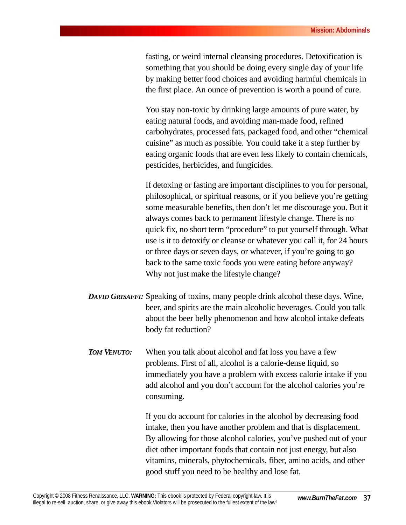fasting, or weird internal cleansing procedures. Detoxification is something that you should be doing every single day of your life by making better food choices and avoiding harmful chemicals in the first place. An ounce of prevention is worth a pound of cure.

You stay non-toxic by drinking large amounts of pure water, by eating natural foods, and avoiding man-made food, refined carbohydrates, processed fats, packaged food, and other "chemical cuisine" as much as possible. You could take it a step further by eating organic foods that are even less likely to contain chemicals, pesticides, herbicides, and fungicides.

If detoxing or fasting are important disciplines to you for personal, philosophical, or spiritual reasons, or if you believe you're getting some measurable benefits, then don't let me discourage you. But it always comes back to permanent lifestyle change. There is no quick fix, no short term "procedure" to put yourself through. What use is it to detoxify or cleanse or whatever you call it, for 24 hours or three days or seven days, or whatever, if you're going to go back to the same toxic foods you were eating before anyway? Why not just make the lifestyle change?

- *DAVID GRISAFFI:* Speaking of toxins, many people drink alcohol these days. Wine, beer, and spirits are the main alcoholic beverages. Could you talk about the beer belly phenomenon and how alcohol intake defeats body fat reduction?
- *TOM VENUTO:* When you talk about alcohol and fat loss you have a few problems. First of all, alcohol is a calorie-dense liquid, so immediately you have a problem with excess calorie intake if you add alcohol and you don't account for the alcohol calories you're consuming.

If you do account for calories in the alcohol by decreasing food intake, then you have another problem and that is displacement. By allowing for those alcohol calories, you've pushed out of your diet other important foods that contain not just energy, but also vitamins, minerals, phytochemicals, fiber, amino acids, and other good stuff you need to be healthy and lose fat.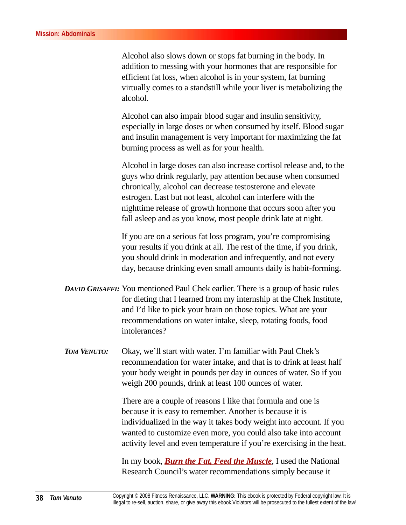Alcohol also slows down or stops fat burning in the body. In addition to messing with your hormones that are responsible for efficient fat loss, when alcohol is in your system, fat burning virtually comes to a standstill while your liver is metabolizing the alcohol.

Alcohol can also impair blood sugar and insulin sensitivity, especially in large doses or when consumed by itself. Blood sugar and insulin management is very important for maximizing the fat burning process as well as for your health.

Alcohol in large doses can also increase cortisol release and, to the guys who drink regularly, pay attention because when consumed chronically, alcohol can decrease testosterone and elevate estrogen. Last but not least, alcohol can interfere with the nighttime release of growth hormone that occurs soon after you fall asleep and as you know, most people drink late at night.

If you are on a serious fat loss program, you're compromising your results if you drink at all. The rest of the time, if you drink, you should drink in moderation and infrequently, and not every day, because drinking even small amounts daily is habit-forming.

- *DAVID GRISAFFI:* You mentioned Paul Chek earlier. There is a group of basic rules for dieting that I learned from my internship at the Chek Institute, and I'd like to pick your brain on those topics. What are your recommendations on water intake, sleep, rotating foods, food intolerances?
- *TOM VENUTO:* Okay, we'll start with water. I'm familiar with Paul Chek's recommendation for water intake, and that is to drink at least half your body weight in pounds per day in ounces of water. So if you weigh 200 pounds, drink at least 100 ounces of water.

There are a couple of reasons I like that formula and one is because it is easy to remember. Another is because it is individualized in the way it takes body weight into account. If you wanted to customize even more, you could also take into account activity level and even temperature if you're exercising in the heat.

In my book, *[Burn the Fat, Feed the Muscle](http://matynne54.burnthefat.hop.clickbank.net),* I used the National Research Council's water recommendations simply because it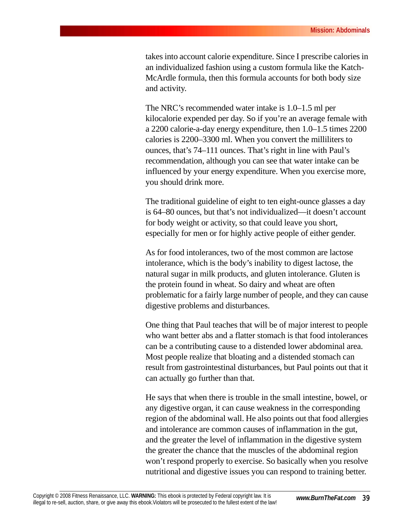takes into account calorie expenditure. Since I prescribe calories in an individualized fashion using a custom formula like the Katch-McArdle formula, then this formula accounts for both body size and activity.

The NRC's recommended water intake is 1.0–1.5 ml per kilocalorie expended per day. So if you're an average female with a 2200 calorie-a-day energy expenditure, then 1.0–1.5 times 2200 calories is 2200–3300 ml. When you convert the milliliters to ounces, that's 74–111 ounces. That's right in line with Paul's recommendation, although you can see that water intake can be influenced by your energy expenditure. When you exercise more, you should drink more.

The traditional guideline of eight to ten eight-ounce glasses a day is 64–80 ounces, but that's not individualized—it doesn't account for body weight or activity, so that could leave you short, especially for men or for highly active people of either gender.

As for food intolerances, two of the most common are lactose intolerance, which is the body's inability to digest lactose, the natural sugar in milk products, and gluten intolerance. Gluten is the protein found in wheat. So dairy and wheat are often problematic for a fairly large number of people, and they can cause digestive problems and disturbances.

One thing that Paul teaches that will be of major interest to people who want better abs and a flatter stomach is that food intolerances can be a contributing cause to a distended lower abdominal area. Most people realize that bloating and a distended stomach can result from gastrointestinal disturbances, but Paul points out that it can actually go further than that.

He says that when there is trouble in the small intestine, bowel, or any digestive organ, it can cause weakness in the corresponding region of the abdominal wall. He also points out that food allergies and intolerance are common causes of inflammation in the gut, and the greater the level of inflammation in the digestive system the greater the chance that the muscles of the abdominal region won't respond properly to exercise. So basically when you resolve nutritional and digestive issues you can respond to training better.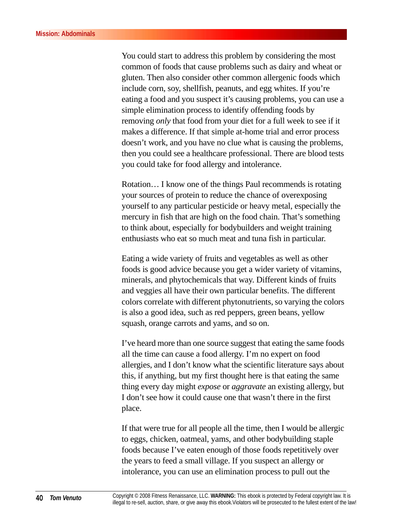You could start to address this problem by considering the most common of foods that cause problems such as dairy and wheat or gluten. Then also consider other common allergenic foods which include corn, soy, shellfish, peanuts, and egg whites. If you're eating a food and you suspect it's causing problems, you can use a simple elimination process to identify offending foods by removing *only* that food from your diet for a full week to see if it makes a difference. If that simple at-home trial and error process doesn't work, and you have no clue what is causing the problems, then you could see a healthcare professional. There are blood tests you could take for food allergy and intolerance.

Rotation… I know one of the things Paul recommends is rotating your sources of protein to reduce the chance of overexposing yourself to any particular pesticide or heavy metal, especially the mercury in fish that are high on the food chain. That's something to think about, especially for bodybuilders and weight training enthusiasts who eat so much meat and tuna fish in particular.

Eating a wide variety of fruits and vegetables as well as other foods is good advice because you get a wider variety of vitamins, minerals, and phytochemicals that way. Different kinds of fruits and veggies all have their own particular benefits. The different colors correlate with different phytonutrients, so varying the colors is also a good idea, such as red peppers, green beans, yellow squash, orange carrots and yams, and so on.

I've heard more than one source suggest that eating the same foods all the time can cause a food allergy. I'm no expert on food allergies, and I don't know what the scientific literature says about this, if anything, but my first thought here is that eating the same thing every day might *expose* or *aggravate* an existing allergy, but I don't see how it could cause one that wasn't there in the first place.

If that were true for all people all the time, then I would be allergic to eggs, chicken, oatmeal, yams, and other bodybuilding staple foods because I've eaten enough of those foods repetitively over the years to feed a small village. If you suspect an allergy or intolerance, you can use an elimination process to pull out the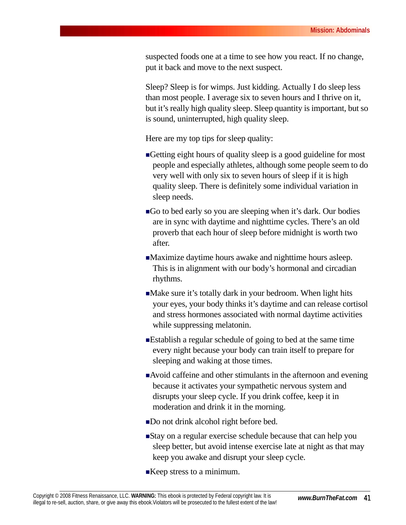suspected foods one at a time to see how you react. If no change, put it back and move to the next suspect.

Sleep? Sleep is for wimps. Just kidding. Actually I do sleep less than most people. I average six to seven hours and I thrive on it, but it's really high quality sleep. Sleep quantity is important, but so is sound, uninterrupted, high quality sleep.

Here are my top tips for sleep quality:

- Getting eight hours of quality sleep is a good guideline for most people and especially athletes, although some people seem to do very well with only six to seven hours of sleep if it is high quality sleep. There is definitely some individual variation in sleep needs.
- Go to bed early so you are sleeping when it's dark. Our bodies are in sync with daytime and nighttime cycles. There's an old proverb that each hour of sleep before midnight is worth two after.
- Maximize daytime hours awake and nighttime hours asleep. This is in alignment with our body's hormonal and circadian rhythms.
- Make sure it's totally dark in your bedroom. When light hits your eyes, your body thinks it's daytime and can release cortisol and stress hormones associated with normal daytime activities while suppressing melatonin.
- Establish a regular schedule of going to bed at the same time every night because your body can train itself to prepare for sleeping and waking at those times.
- Avoid caffeine and other stimulants in the afternoon and evening because it activates your sympathetic nervous system and disrupts your sleep cycle. If you drink coffee, keep it in moderation and drink it in the morning.
- Do not drink alcohol right before bed.
- **Stay** on a regular exercise schedule because that can help you sleep better, but avoid intense exercise late at night as that may keep you awake and disrupt your sleep cycle.
- ■Keep stress to a minimum.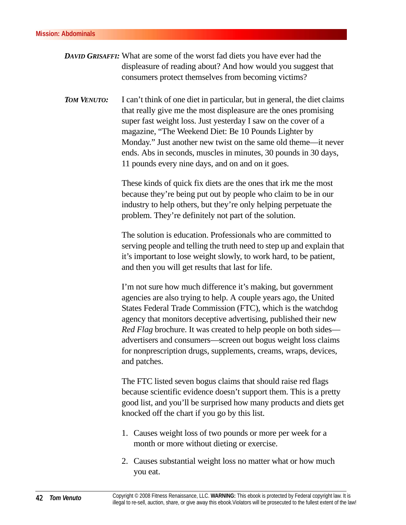- *DAVID GRISAFFI:* What are some of the worst fad diets you have ever had the displeasure of reading about? And how would you suggest that consumers protect themselves from becoming victims?
- *TOM VENUTO:* I can't think of one diet in particular, but in general, the diet claims that really give me the most displeasure are the ones promising super fast weight loss. Just yesterday I saw on the cover of a magazine, "The Weekend Diet: Be 10 Pounds Lighter by Monday." Just another new twist on the same old theme—it never ends. Abs in seconds, muscles in minutes, 30 pounds in 30 days, 11 pounds every nine days, and on and on it goes.

These kinds of quick fix diets are the ones that irk me the most because they're being put out by people who claim to be in our industry to help others, but they're only helping perpetuate the problem. They're definitely not part of the solution.

The solution is education. Professionals who are committed to serving people and telling the truth need to step up and explain that it's important to lose weight slowly, to work hard, to be patient, and then you will get results that last for life.

I'm not sure how much difference it's making, but government agencies are also trying to help. A couple years ago, the United States Federal Trade Commission (FTC), which is the watchdog agency that monitors deceptive advertising, published their new *Red Flag* brochure. It was created to help people on both sides advertisers and consumers—screen out bogus weight loss claims for nonprescription drugs, supplements, creams, wraps, devices, and patches.

The FTC listed seven bogus claims that should raise red flags because scientific evidence doesn't support them. This is a pretty good list, and you'll be surprised how many products and diets get knocked off the chart if you go by this list.

- 1. Causes weight loss of two pounds or more per week for a month or more without dieting or exercise.
- 2. Causes substantial weight loss no matter what or how much you eat.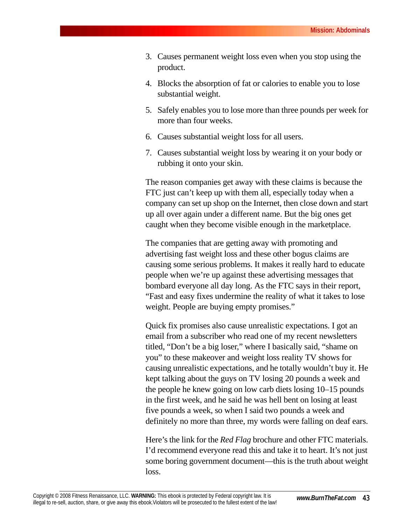- 3. Causes permanent weight loss even when you stop using the product.
- 4. Blocks the absorption of fat or calories to enable you to lose substantial weight.
- 5. Safely enables you to lose more than three pounds per week for more than four weeks.
- 6. Causes substantial weight loss for all users.
- 7. Causes substantial weight loss by wearing it on your body or rubbing it onto your skin.

The reason companies get away with these claims is because the FTC just can't keep up with them all, especially today when a company can set up shop on the Internet, then close down and start up all over again under a different name. But the big ones get caught when they become visible enough in the marketplace.

The companies that are getting away with promoting and advertising fast weight loss and these other bogus claims are causing some serious problems. It makes it really hard to educate people when we're up against these advertising messages that bombard everyone all day long. As the FTC says in their report, "Fast and easy fixes undermine the reality of what it takes to lose weight. People are buying empty promises."

Quick fix promises also cause unrealistic expectations. I got an email from a subscriber who read one of my recent newsletters titled, "Don't be a big loser," where I basically said, "shame on you" to these makeover and weight loss reality TV shows for causing unrealistic expectations, and he totally wouldn't buy it. He kept talking about the guys on TV losing 20 pounds a week and the people he knew going on low carb diets losing 10–15 pounds in the first week, and he said he was hell bent on losing at least five pounds a week, so when I said two pounds a week and definitely no more than three, my words were falling on deaf ears.

Here's the link for the *Red Flag* brochure and other FTC materials. I'd recommend everyone read this and take it to heart. It's not just some boring government document—this is the truth about weight loss.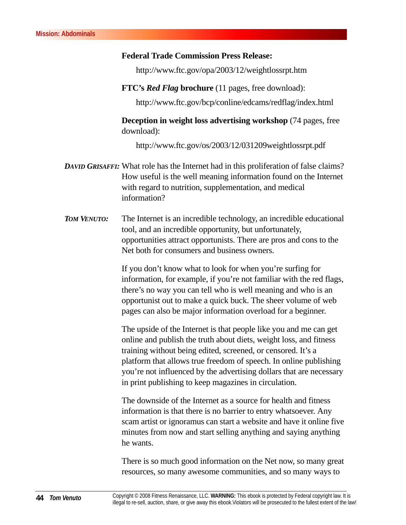#### **Federal Trade Commission Press Release:**

http://www.ftc.gov/opa/2003/12/weightlossrpt.htm

**FTC's** *Red Flag* **brochure** (11 pages, free download):

http://www.ftc.gov/bcp/conline/edcams/redflag/index.html

**Deception in weight loss advertising workshop** (74 pages, free download):

http://www.ftc.gov/os/2003/12/031209weightlossrpt.pdf

- *DAVID GRISAFFI:* What role has the Internet had in this proliferation of false claims? How useful is the well meaning information found on the Internet with regard to nutrition, supplementation, and medical information?
- *TOM VENUTO:* The Internet is an incredible technology, an incredible educational tool, and an incredible opportunity, but unfortunately, opportunities attract opportunists. There are pros and cons to the Net both for consumers and business owners.

If you don't know what to look for when you're surfing for information, for example, if you're not familiar with the red flags, there's no way you can tell who is well meaning and who is an opportunist out to make a quick buck. The sheer volume of web pages can also be major information overload for a beginner.

The upside of the Internet is that people like you and me can get online and publish the truth about diets, weight loss, and fitness training without being edited, screened, or censored. It's a platform that allows true freedom of speech. In online publishing you're not influenced by the advertising dollars that are necessary in print publishing to keep magazines in circulation.

The downside of the Internet as a source for health and fitness information is that there is no barrier to entry whatsoever. Any scam artist or ignoramus can start a website and have it online five minutes from now and start selling anything and saying anything he wants.

There is so much good information on the Net now, so many great resources, so many awesome communities, and so many ways to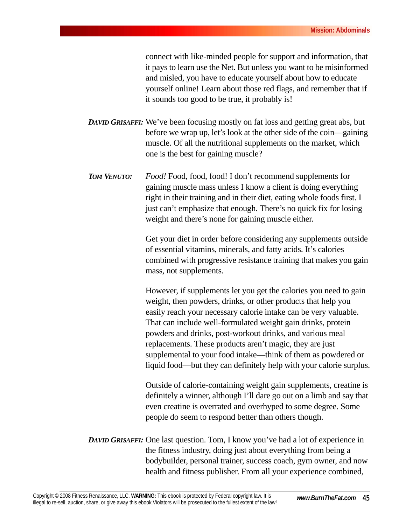connect with like-minded people for support and information, that it pays to learn use the Net. But unless you want to be misinformed and misled, you have to educate yourself about how to educate yourself online! Learn about those red flags, and remember that if it sounds too good to be true, it probably is!

- *DAVID GRISAFFI:* We've been focusing mostly on fat loss and getting great abs, but before we wrap up, let's look at the other side of the coin—gaining muscle. Of all the nutritional supplements on the market, which one is the best for gaining muscle?
- *TOM VENUTO: Food!* Food, food, food! I don't recommend supplements for gaining muscle mass unless I know a client is doing everything right in their training and in their diet, eating whole foods first. I just can't emphasize that enough. There's no quick fix for losing weight and there's none for gaining muscle either.

Get your diet in order before considering any supplements outside of essential vitamins, minerals, and fatty acids. It's calories combined with progressive resistance training that makes you gain mass, not supplements.

However, if supplements let you get the calories you need to gain weight, then powders, drinks, or other products that help you easily reach your necessary calorie intake can be very valuable. That can include well-formulated weight gain drinks, protein powders and drinks, post-workout drinks, and various meal replacements. These products aren't magic, they are just supplemental to your food intake—think of them as powdered or liquid food—but they can definitely help with your calorie surplus.

Outside of calorie-containing weight gain supplements, creatine is definitely a winner, although I'll dare go out on a limb and say that even creatine is overrated and overhyped to some degree. Some people do seem to respond better than others though.

*DAVID GRISAFFI:* One last question. Tom, I know you've had a lot of experience in the fitness industry, doing just about everything from being a bodybuilder, personal trainer, success coach, gym owner, and now health and fitness publisher. From all your experience combined,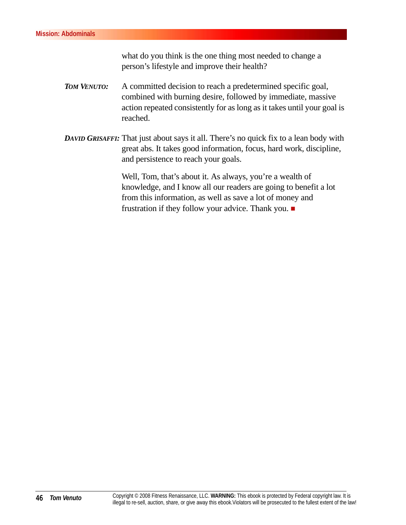what do you think is the one thing most needed to change a person's lifestyle and improve their health?

- *TOM VENUTO:* A committed decision to reach a predetermined specific goal, combined with burning desire, followed by immediate, massive action repeated consistently for as long as it takes until your goal is reached.
- *DAVID GRISAFFI:* That just about says it all. There's no quick fix to a lean body with great abs. It takes good information, focus, hard work, discipline, and persistence to reach your goals.

Well, Tom, that's about it. As always, you're a wealth of knowledge, and I know all our readers are going to benefit a lot from this information, as well as save a lot of money and frustration if they follow your advice. Thank you.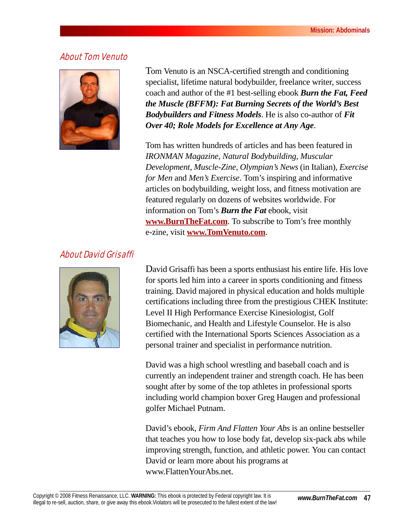#### About Tom Venuto



Tom Venuto is an NSCA-certified strength and conditioning specialist, lifetime natural bodybuilder, freelance writer, success coach and author of the #1 best-selling ebook *Burn the Fat, Feed the Muscle (BFFM): Fat Burning Secrets of the World's Best Bodybuilders and Fitness Models*. He is also co-author of *Fit Over 40; Role Models for Excellence at Any Age*.

Tom has written hundreds of articles and has been featured in *IRONMAN Magazine*, *Natural Bodybuilding*, *Muscular Development*, *Muscle-Zine*, *Olympian's News* (in Italian), *Exercise for Men* and *Men's Exercise*. Tom's inspiring and informative articles on bodybuilding, weight loss, and fitness motivation are featured regularly on dozens of websites worldwide. For information on Tom's *Burn the Fat* ebook, visit **[www.BurnTheFat.com](http://matynne54.burnthefat.hop.clickbank.net)**. To subscribe to Tom's free monthly e-zine, visit **[www.TomVenuto.com](http://www.TomVenuto.com)**.

#### About David Grisaffi



David Grisaffi has been a sports enthusiast his entire life. His love for sports led him into a career in sports conditioning and fitness training. David majored in physical education and holds multiple certifications including three from the prestigious CHEK Institute: Level II High Performance Exercise Kinesiologist, Golf Biomechanic, and Health and Lifestyle Counselor. He is also certified with the International Sports Sciences Association as a personal trainer and specialist in performance nutrition.

David was a high school wrestling and baseball coach and is currently an independent trainer and strength coach. He has been sought after by some of the top athletes in professional sports including world champion boxer Greg Haugen and professional golfer Michael Putnam.

David's ebook, *Firm And Flatten Your Abs* is an online bestseller that teaches you how to lose body fat, develop six-pack abs while improving strength, function, and athletic power. You can contact David or learn more about his programs at www.FlattenYourAbs.net.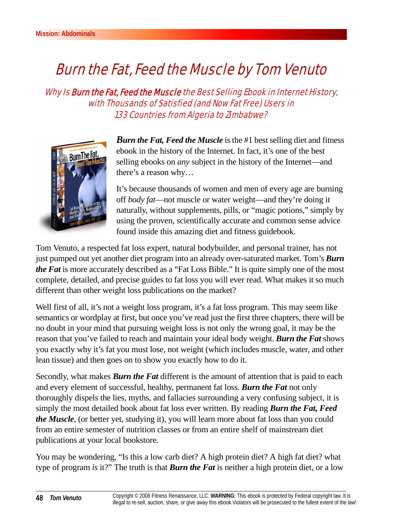## Burn the Fat, Feed the Muscle by Tom Venuto

Why Is Burn the Fat, Feed the Muscle the Best Selling Ebook in Internet History, with Thousands of Satisfied (and Now Fat Free) Users in 133 Countries from Algeria to Zimbabwe?



*Burn the Fat, Feed the Muscle* is the #1 best selling diet and fitness ebook in the history of the Internet. In fact, it's one of the best selling ebooks on *any* subject in the history of the Internet—and there's a reason why…

It's because thousands of women and men of every age are burning off *body fat*—not muscle or water weight—and they're doing it naturally, without supplements, pills, or "magic potions," simply by using the proven, scientifically accurate and common sense advice found inside this amazing diet and fitness guidebook.

Tom Venuto, a respected fat loss expert, natural bodybuilder, and personal trainer, has not just pumped out yet another diet program into an already over-saturated market. Tom's *Burn the Fat* is more accurately described as a "Fat Loss Bible." It is quite simply one of the most complete, detailed, and precise guides to fat loss you will ever read. What makes it so much different than other weight loss publications on the market?

Well first of all, it's not a weight loss program, it's a fat loss program. This may seem like semantics or wordplay at first, but once you've read just the first three chapters, there will be no doubt in your mind that pursuing weight loss is not only the wrong goal, it may be the reason that you've failed to reach and maintain your ideal body weight. *Burn the Fat* shows you exactly why it's fat you must lose, not weight (which includes muscle, water, and other lean tissue) and then goes on to show you exactly how to do it.

Secondly, what makes *Burn the Fat* different is the amount of attention that is paid to each and every element of successful, healthy, permanent fat loss. *Burn the Fat* not only thoroughly dispels the lies, myths, and fallacies surrounding a very confusing subject, it is simply the most detailed book about fat loss ever written. By reading *Burn the Fat, Feed the Muscle*, (or better yet, studying it), you will learn more about fat loss than you could from an entire semester of nutrition classes or from an entire shelf of mainstream diet publications at your local bookstore.

You may be wondering, "Is this a low carb diet? A high protein diet? A high fat diet? what type of program *is* it?" The truth is that *Burn the Fat* is neither a high protein diet, or a low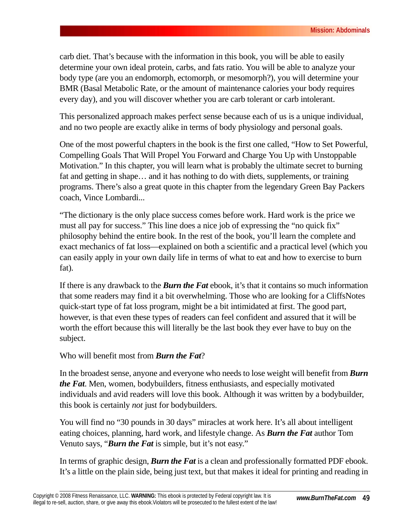carb diet. That's because with the information in this book, you will be able to easily determine your own ideal protein, carbs, and fats ratio. You will be able to analyze your body type (are you an endomorph, ectomorph, or mesomorph?), you will determine your BMR (Basal Metabolic Rate, or the amount of maintenance calories your body requires every day), and you will discover whether you are carb tolerant or carb intolerant.

This personalized approach makes perfect sense because each of us is a unique individual, and no two people are exactly alike in terms of body physiology and personal goals.

One of the most powerful chapters in the book is the first one called, "How to Set Powerful, Compelling Goals That Will Propel You Forward and Charge You Up with Unstoppable Motivation." In this chapter, you will learn what is probably the ultimate secret to burning fat and getting in shape… and it has nothing to do with diets, supplements, or training programs. There's also a great quote in this chapter from the legendary Green Bay Packers coach, Vince Lombardi...

"The dictionary is the only place success comes before work. Hard work is the price we must all pay for success." This line does a nice job of expressing the "no quick fix" philosophy behind the entire book. In the rest of the book, you'll learn the complete and exact mechanics of fat loss—explained on both a scientific and a practical level (which you can easily apply in your own daily life in terms of what to eat and how to exercise to burn fat).

If there is any drawback to the *Burn the Fat* ebook, it's that it contains so much information that some readers may find it a bit overwhelming. Those who are looking for a CliffsNotes quick-start type of fat loss program, might be a bit intimidated at first. The good part, however, is that even these types of readers can feel confident and assured that it will be worth the effort because this will literally be the last book they ever have to buy on the subject.

#### Who will benefit most from *Burn the Fat*?

In the broadest sense, anyone and everyone who needs to lose weight will benefit from *Burn the Fat*. Men, women, bodybuilders, fitness enthusiasts, and especially motivated individuals and avid readers will love this book. Although it was written by a bodybuilder, this book is certainly *not* just for bodybuilders.

You will find no "30 pounds in 30 days" miracles at work here. It's all about intelligent eating choices, planning, hard work, and lifestyle change. As *Burn the Fat* author Tom Venuto says, "*Burn the Fat* is simple, but it's not easy."

In terms of graphic design, *Burn the Fat* is a clean and professionally formatted PDF ebook. It's a little on the plain side, being just text, but that makes it ideal for printing and reading in